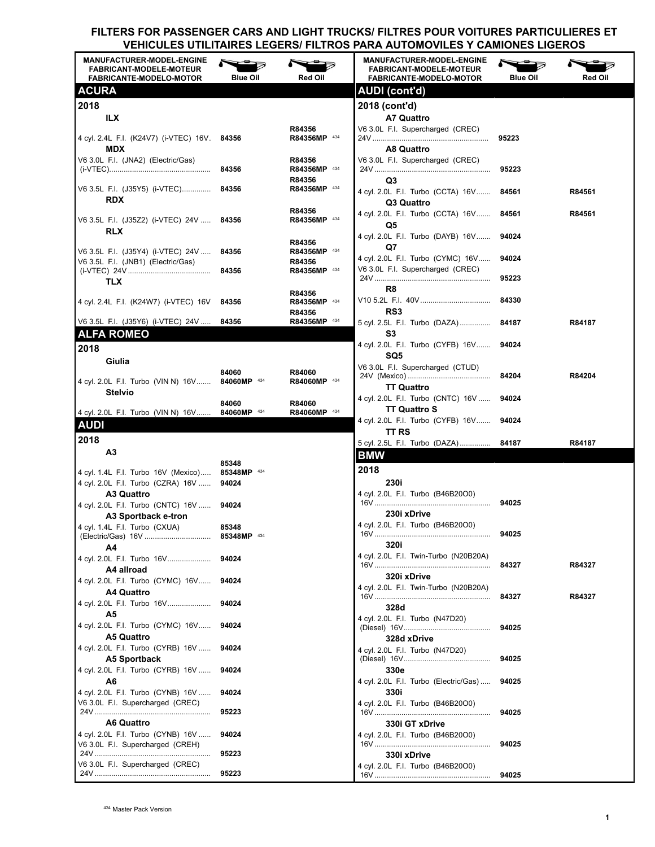| <b>MANUFACTURER-MODEL-ENGINE</b><br><b>FABRICANT-MODELE-MOTEUR</b><br><b>FABRICANTE-MODELO-MOTOR</b> | <b>Blue Oil</b>      | <b>Red Oil</b>                   | <b>MANUFACTURER-MODEL-ENGINE</b><br><b>FABRICANT-MODELE-MOTEUR</b><br><b>FABRICANTE-MODELO-MOTOR</b> | Blue Oil | Red Oil |
|------------------------------------------------------------------------------------------------------|----------------------|----------------------------------|------------------------------------------------------------------------------------------------------|----------|---------|
| <b>ACURA</b>                                                                                         |                      |                                  | AUDI (cont'd)                                                                                        |          |         |
| 2018                                                                                                 |                      |                                  | 2018 (cont'd)                                                                                        |          |         |
| ILX                                                                                                  |                      |                                  | <b>A7 Quattro</b>                                                                                    |          |         |
| 4 cyl. 2.4L F.I. (K24V7) (i-VTEC) 16V. 84356                                                         |                      | R84356<br>R84356MP 434           | V6 3.0L F.I. Supercharged (CREC)                                                                     | 95223    |         |
| <b>MDX</b>                                                                                           |                      |                                  | A8 Quattro                                                                                           |          |         |
| V6 3.0L F.I. (JNA2) (Electric/Gas)                                                                   | 84356                | R84356<br>R84356MP 434<br>R84356 | V6 3.0L F.I. Supercharged (CREC)                                                                     | 95223    |         |
| V6 3.5L F.I. (J35Y5) (i-VTEC)<br><b>RDX</b>                                                          | 84356                | R84356MP 434                     | Q3<br>4 cyl. 2.0L F.I. Turbo (CCTA) 16V                                                              | 84561    | R84561  |
| V6 3.5L F.I. (J35Z2) (i-VTEC) 24V                                                                    | 84356                | R84356<br>R84356MP 434           | Q3 Quattro<br>4 cyl. 2.0L F.I. Turbo (CCTA) 16V                                                      | 84561    | R84561  |
| <b>RLX</b>                                                                                           |                      |                                  | Q5<br>4 cyl. 2.0L F.I. Turbo (DAYB) 16V                                                              | 94024    |         |
| V6 3.5L F.I. (J35Y4) (i-VTEC) 24V                                                                    | 84356                | R84356<br>R84356MP 434           | Q7                                                                                                   |          |         |
| V6 3.5L F.I. (JNB1) (Electric/Gas)                                                                   |                      | R84356                           | 4 cyl. 2.0L F.I. Turbo (CYMC) 16V<br>V6 3.0L F.I. Supercharged (CREC)                                | 94024    |         |
| TLX                                                                                                  | 84356                | R84356MP 434                     |                                                                                                      | 95223    |         |
|                                                                                                      |                      | R84356                           | R8                                                                                                   |          |         |
| 4 cyl. 2.4L F.I. (K24W7) (i-VTEC) 16V                                                                | 84356                | R84356MP 434<br>R84356           | RS <sub>3</sub>                                                                                      | 84330    |         |
| V6 3.5L F.I. (J35Y6) (i-VTEC) 24V                                                                    | 84356                | R84356MP 434                     | 5 cyl. 2.5L F.I. Turbo (DAZA) 84187                                                                  |          | R84187  |
| <b>ALFA ROMEO</b>                                                                                    |                      |                                  | S3<br>4 cyl. 2.0L F.I. Turbo (CYFB) 16V                                                              | 94024    |         |
| 2018                                                                                                 |                      |                                  | SQ5                                                                                                  |          |         |
| Giulia                                                                                               | 84060                | R84060                           | V6 3.0L F.I. Supercharged (CTUD)                                                                     |          |         |
| 4 cyl. 2.0L F.I. Turbo (VIN N) 16V<br><b>Stelvio</b>                                                 | 84060MP 434          | R84060MP 434                     | <b>TT Quattro</b>                                                                                    | 84204    | R84204  |
| 4 cyl. 2.0L F.I. Turbo (VIN N) 16V                                                                   | 84060<br>84060MP 434 | R84060<br>R84060MP 434           | 4 cyl. 2.0L F.I. Turbo (CNTC) 16V<br><b>TT Quattro S</b>                                             | 94024    |         |
| <b>AUDI</b>                                                                                          |                      |                                  | 4 cyl. 2.0L F.I. Turbo (CYFB) 16V                                                                    | 94024    |         |
| 2018                                                                                                 |                      |                                  | TT RS<br>5 cyl. 2.5L F.I. Turbo (DAZA)                                                               | 84187    | R84187  |
| A3                                                                                                   |                      |                                  | <b>BMW</b>                                                                                           |          |         |
| 4 cyl. 1.4L F.I. Turbo 16V (Mexico)                                                                  | 85348<br>85348MP 434 |                                  | 2018                                                                                                 |          |         |
| 4 cyl. 2.0L F.I. Turbo (CZRA) 16V                                                                    | 94024                |                                  | 230i                                                                                                 |          |         |
| A3 Quattro                                                                                           |                      |                                  | 4 cyl. 2.0L F.I. Turbo (B46B20O0)                                                                    | 94025    |         |
| 4 cyl. 2.0L F.I. Turbo (CNTC) 16V  94024<br>A3 Sportback e-tron                                      |                      |                                  | 230i xDrive                                                                                          |          |         |
| 4 cyl. 1.4L F.I. Turbo (CXUA)                                                                        | 85348                |                                  | 4 cyl. 2.0L F.I. Turbo (B46B20O0)                                                                    |          |         |
| A4                                                                                                   | 85348MP 434          |                                  | 320i                                                                                                 | 94025    |         |
|                                                                                                      | 94024                |                                  | 4 cyl. 2.0L F.I. Twin-Turbo (N20B20A)                                                                |          |         |
| A4 allroad                                                                                           |                      |                                  | 320i xDrive                                                                                          | 84327    | R84327  |
| 4 cyl. 2.0L F.I. Turbo (CYMC) 16V<br>A4 Quattro                                                      | 94024                |                                  | 4 cyl. 2.0L F.I. Twin-Turbo (N20B20A)                                                                |          |         |
|                                                                                                      | 94024                |                                  | 328d                                                                                                 | 84327    | R84327  |
| Α5<br>4 cyl. 2.0L F.I. Turbo (CYMC) 16V 94024                                                        |                      |                                  | 4 cyl. 2.0L F.I. Turbo (N47D20)                                                                      | 94025    |         |
| A5 Quattro                                                                                           |                      |                                  | 328d xDrive                                                                                          |          |         |
| 4 cyl. 2.0L F.I. Turbo (CYRB) 16V<br>A5 Sportback                                                    | 94024                |                                  | 4 cyl. 2.0L F.I. Turbo (N47D20)                                                                      | 94025    |         |
| 4 cyl. 2.0L F.I. Turbo (CYRB) 16V                                                                    | 94024                |                                  | 330e                                                                                                 |          |         |
| A6                                                                                                   |                      |                                  | 4 cyl. 2.0L F.I. Turbo (Electric/Gas)                                                                | 94025    |         |
| 4 cyl. 2.0L F.I. Turbo (CYNB) 16V<br>V6 3.0L F.I. Supercharged (CREC)                                | 94024                |                                  | 330i<br>4 cyl. 2.0L F.I. Turbo (B46B20O0)                                                            |          |         |
|                                                                                                      | 95223                |                                  |                                                                                                      | 94025    |         |
| A6 Quattro                                                                                           |                      |                                  | 330i GT xDrive                                                                                       |          |         |
| 4 cyl. 2.0L F.I. Turbo (CYNB) 16V<br>V6 3.0L F.I. Supercharged (CREH)                                | 94024                |                                  | 4 cyl. 2.0L F.I. Turbo (B46B20O0)                                                                    | 94025    |         |
| V6 3.0L F.I. Supercharged (CREC)                                                                     | 95223                |                                  | 330i xDrive                                                                                          |          |         |
|                                                                                                      | 95223                |                                  | 4 cyl. 2.0L F.I. Turbo (B46B20O0)                                                                    | 94025    |         |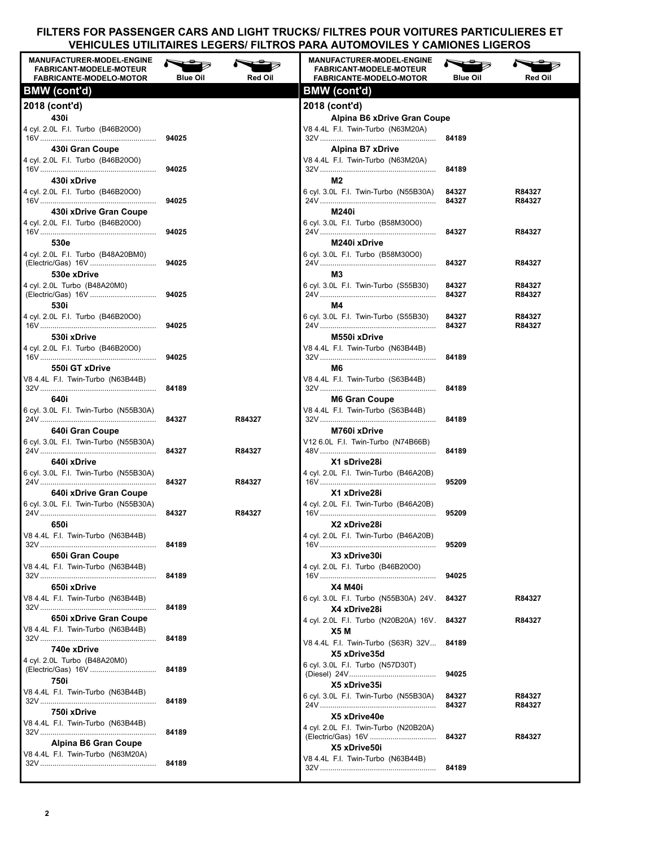| <b>MANUFACTURER-MODEL-ENGINE</b><br><b>FABRICANT-MODELE-MOTEUR</b><br><b>FABRICANTE-MODELO-MOTOR</b> | <b>Blue Oil</b> | Red Oil | <b>MANUFACTURER-MODEL-ENGINE</b><br><b>FABRICANT-MODELE-MOTEUR</b><br><b>FABRICANTE-MODELO-MOTOR</b> | <b>Blue Oil</b> | Red Oil |
|------------------------------------------------------------------------------------------------------|-----------------|---------|------------------------------------------------------------------------------------------------------|-----------------|---------|
| <b>BMW</b> (cont'd)                                                                                  |                 |         | <b>BMW</b> (cont'd)                                                                                  |                 |         |
| 2018 (cont'd)                                                                                        |                 |         | 2018 (cont'd)                                                                                        |                 |         |
| 430i                                                                                                 |                 |         | Alpina B6 xDrive Gran Coupe                                                                          |                 |         |
| 4 cyl. 2.0L F.I. Turbo (B46B20O0)                                                                    | 94025           |         | V8 4.4L F.I. Twin-Turbo (N63M20A)                                                                    | 84189           |         |
| 430i Gran Coupe                                                                                      |                 |         | Alpina B7 xDrive                                                                                     |                 |         |
| 4 cyl. 2.0L F.I. Turbo (B46B20O0)                                                                    |                 |         | V8 4.4L F.I. Twin-Turbo (N63M20A)                                                                    |                 |         |
| 430i xDrive                                                                                          | 94025           |         | M2                                                                                                   | 84189           |         |
| 4 cyl. 2.0L F.I. Turbo (B46B20O0)                                                                    |                 |         | 6 cyl. 3.0L F.I. Twin-Turbo (N55B30A)                                                                | 84327           | R84327  |
|                                                                                                      | 94025           |         |                                                                                                      | 84327           | R84327  |
| 430 xDrive Gran Coupe<br>4 cyl. 2.0L F.I. Turbo (B46B20O0)                                           |                 |         | M240i<br>6 cyl. 3.0L F.I. Turbo (B58M30O0)                                                           |                 |         |
|                                                                                                      | 94025           |         |                                                                                                      | 84327           | R84327  |
| 530e                                                                                                 |                 |         | M240i xDrive                                                                                         |                 |         |
| 4 cvl. 2.0L F.I. Turbo (B48A20BM0)                                                                   | 94025           |         | 6 cvl. 3.0L F.I. Turbo (B58M30O0)                                                                    | 84327           | R84327  |
| 530e xDrive                                                                                          |                 |         | M3                                                                                                   |                 |         |
| 4 cyl. 2.0L Turbo (B48A20M0)                                                                         |                 |         | 6 cyl. 3.0L F.I. Twin-Turbo (S55B30)                                                                 | 84327           | R84327  |
| 530i                                                                                                 | 94025           |         | M4                                                                                                   | 84327           | R84327  |
| 4 cyl. 2.0L F.I. Turbo (B46B20O0)                                                                    |                 |         | 6 cvl. 3.0L F.I. Twin-Turbo (S55B30)                                                                 | 84327           | R84327  |
|                                                                                                      | 94025           |         |                                                                                                      | 84327           | R84327  |
| 530i xDrive                                                                                          |                 |         | M550i xDrive                                                                                         |                 |         |
| 4 cyl. 2.0L F.I. Turbo (B46B20O0)                                                                    | 94025           |         | V8 4.4L F.I. Twin-Turbo (N63B44B)                                                                    | 84189           |         |
| 550i GT xDrive                                                                                       |                 |         | M6                                                                                                   |                 |         |
| V8 4.4L F.I. Twin-Turbo (N63B44B)                                                                    |                 |         | V8 4.4L F.I. Twin-Turbo (S63B44B)                                                                    |                 |         |
| 640i                                                                                                 | 84189           |         | <b>M6 Gran Coupe</b>                                                                                 | 84189           |         |
| 6 cyl. 3.0L F.I. Twin-Turbo (N55B30A)                                                                |                 |         | V8 4.4L F.I. Twin-Turbo (S63B44B)                                                                    |                 |         |
|                                                                                                      | 84327           | R84327  |                                                                                                      | 84189           |         |
| 640i Gran Coupe<br>6 cyl. 3.0L F.I. Twin-Turbo (N55B30A)                                             |                 |         | M760i xDrive<br>V12 6.0L F.I. Twin-Turbo (N74B66B)                                                   |                 |         |
|                                                                                                      | 84327           | R84327  |                                                                                                      | 84189           |         |
| 640i xDrive                                                                                          |                 |         | X1 sDrive28i                                                                                         |                 |         |
| 6 cvl. 3.0L F.I. Twin-Turbo (N55B30A)                                                                | 84327           | R84327  | 4 cyl. 2.0L F.I. Twin-Turbo (B46A20B)                                                                | 95209           |         |
| 640 xDrive Gran Coupe                                                                                |                 |         | X1 xDrive28i                                                                                         |                 |         |
| 6 cyl. 3.0L F.I. Twin-Turbo (N55B30A)                                                                |                 |         | 4 cyl. 2.0L F.I. Twin-Turbo (B46A20B)                                                                |                 |         |
| 650i                                                                                                 | 84327           | R84327  | X2 xDrive28i                                                                                         | 95209           |         |
| V8 4.4L F.I. Twin-Turbo (N63B44B)                                                                    |                 |         | 4 cyl. 2.0L F.I. Twin-Turbo (B46A20B)                                                                |                 |         |
|                                                                                                      | 84189           |         |                                                                                                      | 95209           |         |
| 650i Gran Coupe                                                                                      |                 |         | X3 xDrive30i<br>4 cyl. 2.0L F.I. Turbo (B46B20O0)                                                    |                 |         |
| V8 4.4L F.I. Twin-Turbo (N63B44B)                                                                    | 84189           |         |                                                                                                      | 94025           |         |
| 650i xDrive                                                                                          |                 |         | <b>X4 M40i</b>                                                                                       |                 |         |
| V8 4.4L F.I. Twin-Turbo (N63B44B)                                                                    | 84189           |         | 6 cyl. 3.0L F.I. Turbo (N55B30A) 24V.                                                                | 84327           | R84327  |
| 650i xDrive Gran Coupe                                                                               |                 |         | X4 xDrive28i<br>4 cyl. 2.0L F.I. Turbo (N20B20A) 16V.                                                | 84327           | R84327  |
| V8 4.4L F.I. Twin-Turbo (N63B44B)                                                                    |                 |         | X5 M                                                                                                 |                 |         |
|                                                                                                      | 84189           |         | V8 4.4L F.I. Twin-Turbo (S63R) 32V                                                                   | 84189           |         |
| 740e xDrive<br>4 cyl. 2.0L Turbo (B48A20M0)                                                          |                 |         | X5 xDrive35d                                                                                         |                 |         |
|                                                                                                      | 84189           |         | 6 cyl. 3.0L F.I. Turbo (N57D30T)                                                                     | 94025           |         |
| 750i                                                                                                 |                 |         | X5 xDrive35i                                                                                         |                 |         |
| V8 4.4L F.I. Twin-Turbo (N63B44B)                                                                    | 84189           |         | 6 cyl. 3.0L F.I. Twin-Turbo (N55B30A)                                                                | 84327           | R84327  |
| 750i xDrive                                                                                          |                 |         | X5 xDrive40e                                                                                         | 84327           | R84327  |
| V8 4.4L F.I. Twin-Turbo (N63B44B)                                                                    |                 |         | 4 cyl. 2.0L F.I. Twin-Turbo (N20B20A)                                                                |                 |         |
| Alpina B6 Gran Coupe                                                                                 | 84189           |         |                                                                                                      | 84327           | R84327  |
| V8 4.4L F.I. Twin-Turbo (N63M20A)                                                                    |                 |         | X5 xDrive50i                                                                                         |                 |         |
|                                                                                                      | 84189           |         | V8 4.4L F.I. Twin-Turbo (N63B44B)                                                                    | 84189           |         |
|                                                                                                      |                 |         |                                                                                                      |                 |         |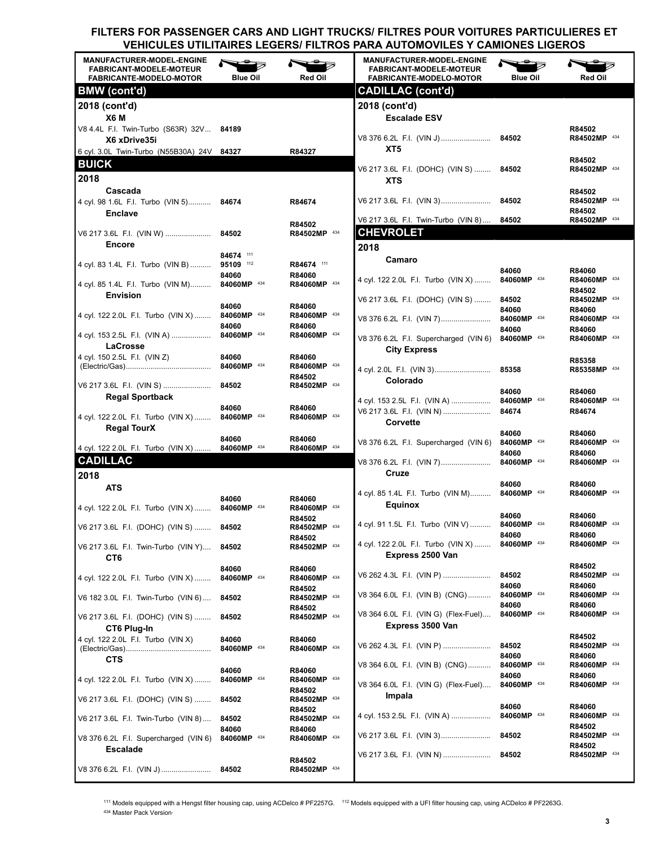| <b>MANUFACTURER-MODEL-ENGINE</b><br><b>FABRICANT-MODELE-MOTEUR</b><br><b>FABRICANTE-MODELO-MOTOR</b> | <b>Blue Oil</b>      | Red Oil                          | <b>MANUFACTURER-MODEL-ENGINE</b><br><b>FABRICANT-MODELE-MOTEUR</b><br><b>FABRICANTE-MODELO-MOTOR</b> | <b>Blue Oil</b>      | Red Oil                                |
|------------------------------------------------------------------------------------------------------|----------------------|----------------------------------|------------------------------------------------------------------------------------------------------|----------------------|----------------------------------------|
| <b>BMW</b> (cont'd)                                                                                  |                      |                                  | <b>CADILLAC (cont'd)</b>                                                                             |                      |                                        |
| 2018 (cont'd)<br>X6 M                                                                                |                      |                                  | 2018 (cont'd)<br><b>Escalade ESV</b>                                                                 |                      |                                        |
| V8 4.4L F.I. Twin-Turbo (S63R) 32V 84189<br>X6 xDrive35i                                             |                      |                                  |                                                                                                      |                      | R84502<br>R84502MP 434                 |
| 6 cyl. 3.0L Twin-Turbo (N55B30A) 24V 84327<br><b>BUICK</b>                                           |                      | R84327                           | XT5                                                                                                  |                      | R84502                                 |
| 2018                                                                                                 |                      |                                  | V6 217 3.6L F.I. (DOHC) (VIN S)  84502<br><b>XTS</b>                                                 |                      | R84502MP 434                           |
| Cascada<br>4 cyl. 98 1.6L F.I. Turbo (VIN 5) 84674                                                   |                      | R84674                           |                                                                                                      |                      | R84502<br>R84502MP 434<br>R84502       |
| <b>Enclave</b>                                                                                       | 84502                | R84502<br>R84502MP 434           | V6 217 3.6L F.I. Twin-Turbo (VIN 8) 84502<br><b>CHEVROLET</b>                                        |                      | R84502MP 434                           |
| V6 217 3.6L F.I. (VIN W)<br><b>Encore</b>                                                            |                      |                                  |                                                                                                      |                      |                                        |
|                                                                                                      | 84674 111            |                                  | 2018                                                                                                 |                      |                                        |
| 4 cyl. 83 1.4L F.I. Turbo (VIN B)                                                                    | 95109 112            | R84674 111                       | Camaro                                                                                               | 84060                | R84060                                 |
| 4 cyl. 85 1.4L F.I. Turbo (VIN M)                                                                    | 84060<br>84060MP 434 | R84060<br>R84060MP 434           | 4 cyl. 122 2.0L F.I. Turbo (VIN X)  84060MP 434                                                      |                      | R84060MP 434<br>R84502                 |
| <b>Envision</b>                                                                                      | 84060                | R84060                           | V6 217 3.6L F.I. (DOHC) (VIN S)  84502                                                               |                      | R84502MP 434                           |
| 4 cyl. 122 2.0L F.I. Turbo (VIN X)                                                                   | 84060MP 434<br>84060 | R84060MP 434<br>R84060           | V8 376 6.2L F.I. (VIN 7)                                                                             | 84060<br>84060MP 434 | R84060<br>R84060MP 434                 |
| 4 cyl. 153 2.5L F.I. (VIN A)<br>LaCrosse                                                             | 84060MP 434          | R84060MP 434                     | V8 376 6.2L F.I. Supercharged (VIN 6) 84060MP 434                                                    | 84060                | R84060<br>R84060MP 434                 |
| 4 cyl. 150 2.5L F.I. (VIN Z)                                                                         | 84060                | R84060                           | <b>City Express</b>                                                                                  |                      | R85358                                 |
|                                                                                                      |                      | R84060MP 434                     |                                                                                                      |                      | R85358MP 434                           |
| V6 217 3.6L F.I. (VIN S)<br><b>Regal Sportback</b>                                                   | 84502                | R84502<br>R84502MP 434           | Colorado                                                                                             | 84060                | R84060                                 |
|                                                                                                      | 84060                | R84060                           | 4 cyl. 153 2.5L F.I. (VIN A)  84060MP 434                                                            |                      | R84060MP 434                           |
| 4 cyl. 122 2.0L F.I. Turbo (VIN X)<br><b>Regal TourX</b>                                             | 84060MP 434          | R84060MP 434                     | V6 217 3.6L F.I. (VIN N)  84674<br>Corvette                                                          |                      | R84674                                 |
| 4 cyl. 122 2.0L F.I. Turbo (VIN X)                                                                   | 84060<br>84060MP 434 | R84060<br>R84060MP 434           | V8 376 6.2L F.I. Supercharged (VIN 6)                                                                | 84060<br>84060MP 434 | R84060<br>R84060MP 434                 |
| <b>CADILLAC</b>                                                                                      |                      |                                  | V8 376 6.2L F.I. (VIN 7) 84060MP 434                                                                 | 84060                | R84060<br>R84060MP 434                 |
| 2018                                                                                                 |                      |                                  | Cruze                                                                                                |                      |                                        |
| <b>ATS</b>                                                                                           |                      |                                  |                                                                                                      | 84060                | R84060                                 |
| 4 cyl. 122 2.0L F.I. Turbo (VIN X) 84060MP 434                                                       | 84060                | R84060<br>R84060MP 434           | 4 cyl. 85 1.4L F.I. Turbo (VIN M) 84060MP 434<br>Equinox                                             |                      | R84060MP 434                           |
| V6 217 3.6L F.I. (DOHC) (VIN S)  84502                                                               |                      | R84502<br>R84502MP 434           | 4 cyl. 91 1.5L F.I. Turbo (VIN V)  84060MP 434                                                       | 84060                | R84060<br>R84060MP 434                 |
|                                                                                                      | 84502                | R84502<br>R84502MP 434           | 4 cyl. 122 2.0L F.I. Turbo (VIN X)                                                                   | 84060<br>84060MP 434 | R84060<br>R84060MP 434                 |
| V6 217 3.6L F.I. Twin-Turbo (VIN Y)<br>CT6                                                           |                      |                                  | Express 2500 Van                                                                                     |                      | R84502                                 |
| 4 cyl. 122 2.0L F.I. Turbo (VIN X)                                                                   | 84060<br>84060MP 434 | R84060<br>R84060MP 434<br>R84502 | V6 262 4.3L F.I. (VIN P)                                                                             | 84502<br>84060       | R84502MP 434<br>R84060                 |
| V6 182 3.0L F.I. Twin-Turbo (VIN 6)                                                                  | 84502                | R84502MP 434<br>R84502           | V8 364 6.0L F.I. (VIN B) (CNG)                                                                       | 84060MP 434<br>84060 | R84060MP 434<br>R84060                 |
| V6 217 3.6L F.I. (DOHC) (VIN S)<br>CT6 Plug-In                                                       | 84502                | R84502MP 434                     | V8 364 6.0L F.I. (VIN G) (Flex-Fuel)<br>Express 3500 Van                                             | 84060MP 434          | R84060MP 434                           |
| 4 cyl. 122 2.0L F.I. Turbo (VIN X)                                                                   | 84060<br>84060MP 434 | R84060<br>R84060MP 434           | V6 262 4.3L F.I. (VIN P)                                                                             | 84502                | R84502<br>R84502MP 434                 |
| <b>CTS</b>                                                                                           |                      |                                  |                                                                                                      | 84060                | R84060                                 |
|                                                                                                      | 84060                | R84060                           | V8 364 6.0L F.I. (VIN B) (CNG)                                                                       | 84060MP 434<br>84060 | R84060MP 434<br>R84060                 |
| 4 cyl. 122 2.0L F.I. Turbo (VIN X)                                                                   | 84060MP 434          | R84060MP 434<br>R84502           | V8 364 6.0L F.I. (VIN G) (Flex-Fuel)                                                                 | 84060MP 434          | R84060MP 434                           |
| V6 217 3.6L F.I. (DOHC) (VIN S)                                                                      | 84502                | R84502MP 434<br>R84502           | Impala                                                                                               | 84060                | R84060                                 |
| V6 217 3.6L F.I. Twin-Turbo (VIN 8)                                                                  | 84502<br>84060       | R84502MP 434<br>R84060           | 4 cyl. 153 2.5L F.I. (VIN A)<br>V6 217 3.6L F.I. (VIN 3)                                             | 84060MP 434<br>84502 | R84060MP 434<br>R84502<br>R84502MP 434 |
| V8 376 6.2L F.I. Supercharged (VIN 6)<br><b>Escalade</b>                                             | 84060MP 434          | R84060MP 434                     |                                                                                                      | 84502                | R84502                                 |
| V8 376 6.2L F.I. (VIN J)                                                                             | 84502                | R84502<br>R84502MP 434           | V6 217 3.6L F.I. (VIN N)                                                                             |                      | R84502MP 434                           |

<sup>111</sup> Models equipped with a Hengst filter housing cap, using ACDelco # PF2257G. <sup>112</sup> Models equipped with a UFI filter housing cap, using ACDelco # PF2263G. 434 Master Pack Version-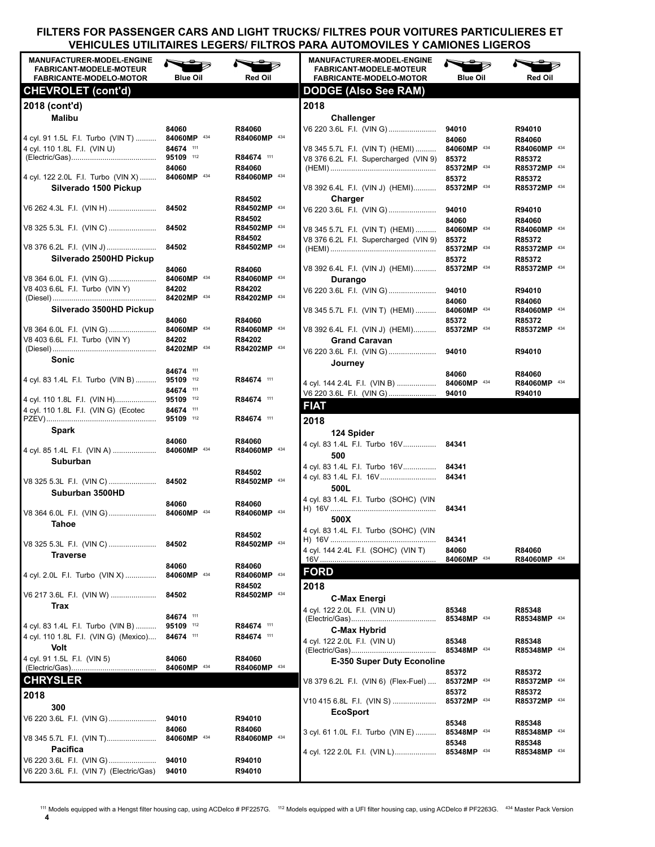| <b>MANUFACTURER-MODEL-ENGINE</b><br><b>FABRICANT-MODELE-MOTEUR</b><br><b>FABRICANTE-MODELO-MOTOR</b> | <b>Blue Oil</b>                     | <b>Red Oil</b>                       | <b>MANUFACTURER-MODEL-ENGINE</b><br><b>FABRICANT-MODELE-MOTEUR</b><br><b>FABRICANTE-MODELO-MOTOR</b> | <b>Blue Oil</b>                     | Red Oil                                |
|------------------------------------------------------------------------------------------------------|-------------------------------------|--------------------------------------|------------------------------------------------------------------------------------------------------|-------------------------------------|----------------------------------------|
| <b>CHEVROLET</b> (cont'd)                                                                            |                                     |                                      | <b>DODGE (Also See RAM)</b>                                                                          |                                     |                                        |
| 2018 (cont'd)<br>Malibu                                                                              |                                     |                                      | 2018<br>Challenger                                                                                   |                                     |                                        |
| 4 cyl. 91 1.5L F.I. Turbo (VIN T)<br>4 cyl. 110 1.8L F.I. (VIN U)                                    | 84060<br>84060MP 434<br>84674 111   | R84060<br>R84060MP 434               | V6 220 3.6L F.I. (VIN G)<br>V8 345 5.7L F.I. (VIN T) (HEMI)                                          | 94010<br>84060<br>84060MP 434       | R94010<br>R84060<br>R84060MP 434       |
|                                                                                                      | 84060<br>84060MP 434                | R84674 111<br>R84060<br>R84060MP 434 | V8 376 6.2L F.I. Supercharged (VIN 9)                                                                | 85372<br>85372MP 434                | R85372<br>R85372MP 434                 |
| 4 cyl. 122 2.0L F.I. Turbo (VIN X)<br>Silverado 1500 Pickup                                          |                                     | R84502                               | V8 392 6.4L F.I. (VIN J) (HEMI)<br>Charger                                                           | 85372<br>85372MP 434                | R85372<br>R85372MP 434                 |
| V6 262 4.3L F.I. (VIN H)                                                                             | 84502                               | R84502MP 434<br>R84502               | V6 220 3.6L F.I. (VIN G)                                                                             | 94010<br>84060                      | R94010<br>R84060                       |
|                                                                                                      |                                     | R84502MP 434<br>R84502               | V8 345 5.7L F.I. (VIN T) (HEMI)<br>V8 376 6.2L F.I. Supercharged (VIN 9)                             | 84060MP 434<br>85372                | R84060MP 434<br>R85372                 |
| V8 376 6.2L F.I. (VIN J)<br>Silverado 2500HD Pickup                                                  | 84502                               | R84502MP 434                         |                                                                                                      | 85372MP 434<br>85372                | R85372MP 434<br>R85372                 |
| V8 364 6.0L F.I. (VIN G)                                                                             | 84060<br>84060MP 434                | R84060<br>R84060MP 434               | V8 392 6.4L F.I. (VIN J) (HEMI)<br>Durango                                                           | 85372MP 434                         | R85372MP 434                           |
| V8 403 6.6L F.I. Turbo (VIN Y)<br>Silverado 3500HD Pickup                                            | 84202<br>84202MP 434                | R84202<br>R84202MP 434               | V6 220 3.6L F.I. (VIN G)<br>V8 345 5.7L F.I. (VIN T) (HEMI)                                          | 94010<br>84060<br>84060MP 434       | R94010<br>R84060<br>R84060MP 434       |
| V8 364 6.0L F.I. (VIN G)                                                                             | 84060<br>84060MP 434                | R84060<br>R84060MP 434               | V8 392 6.4L F.I. (VIN J) (HEMI)                                                                      | 85372<br>85372MP 434                | R85372<br>R85372MP 434                 |
| V8 403 6.6L F.I. Turbo (VIN Y)                                                                       | 84202                               | R84202<br>R84202MP 434               | <b>Grand Caravan</b><br>V6 220 3.6L F.I. (VIN G)                                                     | 94010                               | R94010                                 |
| Sonic                                                                                                | 84674 111                           |                                      | Journey                                                                                              | 84060                               | R84060                                 |
| 4 cyl. 83 1.4L F.I. Turbo (VIN B)                                                                    | 95109 112<br>84674 111              | R84674 111<br>R84674 111             | 4 cyl. 144 2.4L F.I. (VIN B)<br>V6 220 3.6L F.I. (VIN G)                                             | 84060MP 434<br>94010                | R84060MP 434<br>R94010                 |
| 4 cyl. 110 1.8L F.I. (VIN G) (Ecotec                                                                 | 84674 111                           | R84674 111                           | <b>FIAT</b><br>2018                                                                                  |                                     |                                        |
| Spark                                                                                                |                                     |                                      | 124 Spider                                                                                           |                                     |                                        |
| 4 cyl. 85 1.4L F.I. (VIN A)  84060MP 434<br>Suburban                                                 | 84060                               | R84060<br>R84060MP 434               | 4 cyl. 83 1.4L F.I. Turbo 16V 84341<br>500<br>4 cyl. 83 1.4L F.I. Turbo 16V 84341                    |                                     |                                        |
| Suburban 3500HD                                                                                      |                                     | R84502<br>R84502MP 434               | 500L                                                                                                 | 84341                               |                                        |
| Tahoe                                                                                                | 84060                               | R84060<br>R84060MP 434               | 4 cyl. 83 1.4L F.I. Turbo (SOHC) (VIN<br>500X                                                        | 84341                               |                                        |
| V8 325 5.3L F.I. (VIN C)<br><b>Traverse</b>                                                          | 84502                               | R84502<br>R84502MP 434               | 4 cyl. 83 1.4L F.I. Turbo (SOHC) (VIN<br>4 cyl. 144 2.4L F.I. (SOHC) (VIN T)                         | 84341<br>84060                      | R84060                                 |
| 4 cyl. 2.0L F.I. Turbo (VIN X)                                                                       | 84060<br>84060MP 434                | R84060<br>R84060MP 434               | <b>FORD</b>                                                                                          | 84060MP 434                         | R84060MP 434                           |
| V6 217 3.6L F.I. (VIN W)                                                                             | 84502                               | R84502<br>R84502MP 434               | 2018<br><b>C-Max Energi</b>                                                                          |                                     |                                        |
| Trax<br>4 cyl. 83 1.4L F.I. Turbo (VIN B)<br>4 cyl. 110 1.8L F.I. (VIN G) (Mexico)                   | 84674 111<br>95109 112<br>84674 111 | R84674 111<br>R84674 111             | 4 cyl. 122 2.0L F.I. (VIN U)<br>C-Max Hybrid<br>4 cyl. 122 2.0L F.I. (VIN U)                         | 85348<br>85348MP 434<br>85348       | R85348<br>R85348MP 434<br>R85348       |
| Volt<br>4 cyl. 91 1.5L F.I. (VIN 5)                                                                  | 84060                               | R84060                               | <b>E-350 Super Duty Econoline</b>                                                                    | 85348MP 434                         | R85348MP 434                           |
| <b>CHRYSLER</b>                                                                                      | 84060MP 434                         | R84060MP 434                         |                                                                                                      | 85372                               | R85372                                 |
| 2018                                                                                                 |                                     |                                      | V8 379 6.2L  F.I. (VIN 6) (Flex-Fuel)<br>V10 415 6.8L F.I. (VIN S)                                   | 85372MP 434<br>85372<br>85372MP 434 | R85372MP 434<br>R85372<br>R85372MP 434 |
| 300<br>V6 220 3.6L F.I. (VIN G)                                                                      | 94010                               | R94010                               | <b>EcoSport</b>                                                                                      | 85348                               | R85348                                 |
| V8 345 5.7L F.I. (VIN T)                                                                             | 84060<br>84060MP 434                | R84060<br>R84060MP 434               | 3 cyl. 61 1.0L F.I. Turbo (VIN E)                                                                    | 85348MP 434<br>85348                | R85348MP 434<br>R85348                 |
| Pacifica<br>V6 220 3.6L F.I. (VIN G)<br>V6 220 3.6L F.I. (VIN 7) (Electric/Gas)                      | 94010<br>94010                      | R94010<br>R94010                     | 4 cyl. 122 2.0L F.I. (VIN L)                                                                         | 85348MP 434                         | R85348MP 434                           |

111 Models equipped with a Hengst filter housing cap, using ACDelco # PF2257G. 112 Models equipped with a UFI filter housing cap, using ACDelco # PF2263G. 434 Master Pack Version

**4**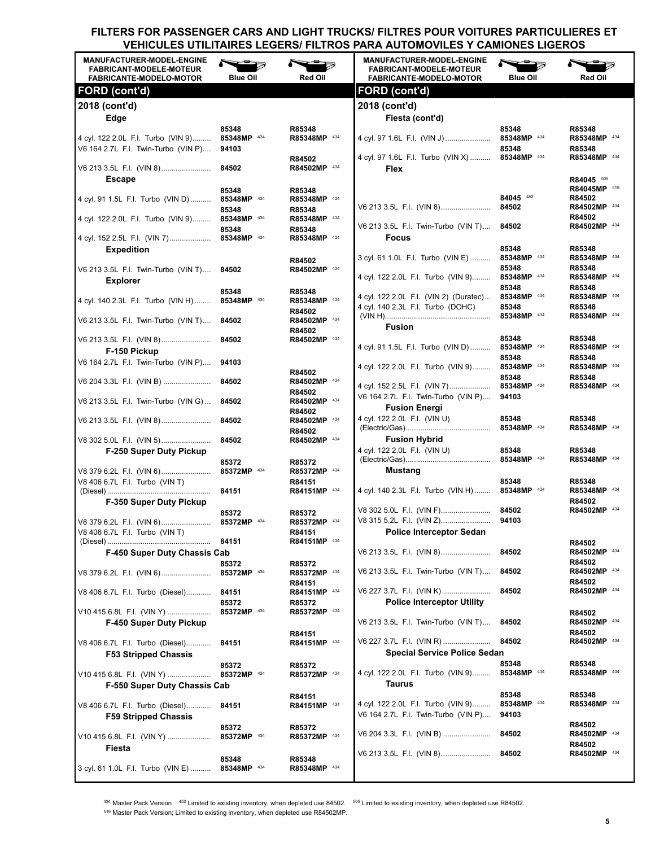| <b>MANUFACTURER-MODEL-ENGINE</b><br><b>FABRICANT-MODELE-MOTEUR</b><br><b>FABRICANTE-MODELO-MOTOR</b> | <b>Blue Oil</b>               | Red Oil                          | <b>MANUFACTURER-MODEL-ENGINE</b><br><b>FABRICANT-MODELE-MOTEUR</b><br><b>FABRICANTE-MODELO-MOTOR</b> | <b>Blue Oil</b>                     | <b>Red Oil</b>                         |
|------------------------------------------------------------------------------------------------------|-------------------------------|----------------------------------|------------------------------------------------------------------------------------------------------|-------------------------------------|----------------------------------------|
| FORD (cont'd)                                                                                        |                               |                                  | <b>FORD (cont'd)</b>                                                                                 |                                     |                                        |
| 2018 (cont'd)                                                                                        |                               |                                  | 2018 (cont'd)                                                                                        |                                     |                                        |
| Edge                                                                                                 |                               |                                  | Fiesta (cont'd)                                                                                      |                                     |                                        |
| 4 cyl. 122 2.0L  F.I. Turbo (VIN 9)<br>V6 164 2.7L F.I. Twin-Turbo (VIN P)                           | 85348<br>85348MP 434<br>94103 | R85348<br>R85348MP 434           | 4 cyl. 97 1.6L F.I. (VIN J)  85348MP 434                                                             | 85348<br>85348                      | R85348<br>R85348MP 434<br>R85348       |
| <b>Escape</b>                                                                                        | 84502                         | R84502<br>R84502MP 434           | 4 cyl. 97 1.6L F.I. Turbo (VIN X)  85348MP 434<br>Flex                                               |                                     | R85348MP 434<br>R84045 505             |
| 4 cyl. 91 1.5L F.I. Turbo (VIN D)                                                                    | 85348<br>85348MP 434<br>85348 | R85348<br>R85348MP 434<br>R85348 |                                                                                                      | 84045 452                           | R84045MP 519<br>R84502<br>R84502MP 434 |
| 4 cyl. 122 2.0L F.I. Turbo (VIN 9)                                                                   | 85348MP 434<br>85348          | R85348MP 434<br>R85348           | V6 213 3.5L F.I. Twin-Turbo (VIN T) 84502                                                            |                                     | R84502<br>R84502MP 434                 |
| 4 cyl. 152 2.5L F.I. (VIN 7)<br><b>Expedition</b>                                                    | 85348MP 434                   | R85348MP 434                     | <b>Focus</b>                                                                                         | 85348                               | R85348                                 |
|                                                                                                      |                               | R84502                           | 3 cyl. 61 1.0L F.I. Turbo (VIN E)                                                                    | 85348MP 434                         | R85348MP 434                           |
| V6 213 3.5L F.I. Twin-Turbo (VIN T) 84502<br><b>Explorer</b>                                         |                               | R84502MP 434                     | 4 cyl. 122 2.0L F.I. Turbo (VIN 9)                                                                   | 85348<br>85348MP 434<br>85348       | R85348<br>R85348MP 434<br>R85348       |
| 4 cyl. 140 2.3L F.I. Turbo (VIN H)                                                                   | 85348<br>85348MP 434          | R85348<br>R85348MP 434<br>R84502 | 4 cyl. 122 2.0L F.I. (VIN 2) (Duratec)<br>4 cyl. 140 2.3L F.I. Turbo (DOHC)                          | 85348MP 434<br>85348                | R85348MP 434<br>R85348                 |
| V6 213 3.5L F.I. Twin-Turbo (VIN T) 84502                                                            |                               | R84502MP 434<br>R84502           | <b>Fusion</b>                                                                                        | 85348MP 434                         | R85348MP 434                           |
| V6 213 3.5L F.I. (VIN 8) 84502                                                                       |                               | R84502MP 434                     |                                                                                                      | 85348                               | R85348                                 |
| F-150 Pickup<br>V6 164 2.7L F.I. Twin-Turbo (VIN P)                                                  | 94103                         |                                  | 4 cyl. 91 1.5L F.I. Turbo (VIN D)<br>4 cyl. 122 2.0L F.I. Turbo (VIN 9)                              | 85348MP 434<br>85348<br>85348MP 434 | R85348MP 434<br>R85348<br>R85348MP 434 |
| V6 204 3.3L   F.I.   (VIN B)                                                                         | 84502                         | R84502<br>R84502MP 434           | 4 cyl. 152 2.5L F.I. (VIN 7)                                                                         | 85348<br>85348MP 434                | R85348<br>R85348MP 434                 |
| V6 213 3.5L F.I. Twin-Turbo (VIN G)                                                                  | 84502                         | R84502<br>R84502MP 434<br>R84502 | V6 164 2.7L F.I. Twin-Turbo (VIN P)<br><b>Fusion Energi</b>                                          | 94103                               |                                        |
|                                                                                                      | 84502                         | R84502MP 434<br>R84502           | 4 cyl. 122 2.0L F.I. (VIN U)                                                                         | 85348                               | R85348<br>R85348MP 434                 |
| V8 302 5.0L F.I. (VIN 5)<br>F-250 Super Duty Pickup                                                  | 84502                         | R84502MP 434                     | <b>Fusion Hybrid</b><br>4 cyl. 122 2.0L F.I. (VIN U)                                                 | 85348                               | R85348                                 |
| V8 379 6.2L F.I. (VIN 6)                                                                             | 85372<br>85372MP 434          | R85372<br>R85372MP 434           | Mustang                                                                                              |                                     | R85348MP 434                           |
| V8 406 6.7L F.I. Turbo (VIN T)                                                                       | 84151                         | R84151<br>R84151MP 434           | 4 cyl. 140 2.3L F.I. Turbo (VIN H) 85348MP 434                                                       | 85348                               | R85348<br>R85348MP 434                 |
| F-350 Super Duty Pickup                                                                              |                               |                                  |                                                                                                      |                                     | R84502<br>R84502MP 434                 |
| V8 379 6.2L F.I. (VIN 6) 85372MP 434                                                                 | 85372                         | R85372<br>R85372MP 434           |                                                                                                      |                                     |                                        |
| V8 406 6.7L F.I. Turbo (VIN T)                                                                       |                               | R84151                           | <b>Police Interceptor Sedan</b>                                                                      |                                     |                                        |
| F-450 Super Duty Chassis Cab                                                                         | 84151                         | R84151MP 434                     | V6 213 3.5L F.I. (VIN 8)                                                                             | 84502                               | R84502<br>R84502MP 434                 |
|                                                                                                      | 85372                         | R85372                           |                                                                                                      |                                     | R84502                                 |
| V8 379 6.2L   F.I.   (VIN 6)                                                                         | 85372MP 434                   | R85372MP 434<br>R84151           | V6 213 3.5L F.I. Twin-Turbo (VIN T)                                                                  | 84502                               | R84502MP 434<br>R84502                 |
| V8 406 6.7L F.I. Turbo (Diesel)                                                                      | 84151<br>85372                | R84151MP 434<br>R85372           | V6 227 3.7L F.I. (VIN K)<br><b>Police Interceptor Utility</b>                                        | 84502                               | R84502MP 434                           |
| V10 415 6.8L F.I. (VIN Y)<br>F-450 Super Duty Pickup                                                 | 85372MP 434                   | R85372MP 434                     | V6 213 3.5L F.I. Twin-Turbo (VIN T)                                                                  | 84502                               | R84502<br>R84502MP 434                 |
| V8 406 6.7L F.I. Turbo (Diesel)                                                                      | 84151                         | R84151<br>R84151MP 434           | V6 227 3.7L F.I. (VIN R)<br><b>Special Service Police Sedan</b>                                      | 84502                               | R84502<br>R84502MP 434                 |
| <b>F53 Stripped Chassis</b>                                                                          | 85372                         | R85372                           |                                                                                                      | 85348                               | R85348                                 |
| V10 415 6.8L F.I. (VIN Y)<br>F-550 Super Duty Chassis Cab                                            | 85372MP 434                   | R85372MP 434                     | 4 cyl. 122 2.0L F.I. Turbo (VIN 9)<br>Taurus                                                         | 85348MP 434                         | R85348MP 434                           |
|                                                                                                      |                               | R84151                           |                                                                                                      | 85348                               | R85348                                 |
| V8 406 6.7L F.I. Turbo (Diesel)<br><b>F59 Stripped Chassis</b>                                       | 84151                         | R84151MP 434                     | 4 cyl. 122 2.0L F.I. Turbo (VIN 9)<br>V6 164 2.7L F.I. Twin-Turbo (VIN P)                            | 85348MP 434<br>94103                | R85348MP 434                           |
| V10 415 6.8L F.I. (VIN Y)<br>Fiesta                                                                  | 85372<br>85372MP 434          | R85372<br>R85372MP 434           | V6 204 3.3L F.I. (VIN B)                                                                             | 84502                               | R84502<br>R84502MP 434<br>R84502       |
| 3 cyl. 61 1.0L F.I. Turbo (VIN E)                                                                    | 85348<br>85348MP 434          | R85348<br>R85348MP 434           | V6 213 3.5L F.I. (VIN 8)                                                                             | 84502                               | R84502MP 434                           |

434 Master Pack Version 452 Limited to existing inventory, when depleted use 84502. 505 Limited to existing inventory, when depleted use R84502. <sup>519</sup> Master Pack Version; Limited to existing inventory, when depleted use R84502MP.

**5**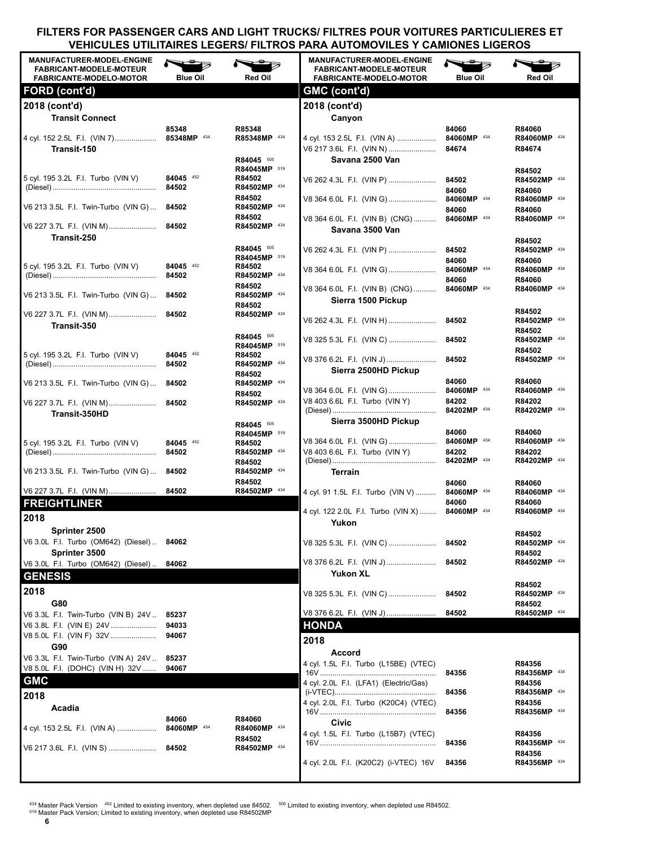| <b>MANUFACTURER-MODEL-ENGINE</b><br><b>FABRICANT-MODELE-MOTEUR</b><br><b>FABRICANTE-MODELO-MOTOR</b> | <b>Blue Oil</b>      | Red Oil                              | <b>MANUFACTURER-MODEL-ENGINE</b><br><b>FABRICANT-MODELE-MOTEUR</b><br><b>FABRICANTE-MODELO-MOTOR</b> | <b>Blue Oil</b>               | Red Oil                          |
|------------------------------------------------------------------------------------------------------|----------------------|--------------------------------------|------------------------------------------------------------------------------------------------------|-------------------------------|----------------------------------|
| FORD (cont'd)                                                                                        |                      |                                      | GMC (cont'd)                                                                                         |                               |                                  |
| 2018 (cont'd)                                                                                        |                      |                                      | 2018 (cont'd)                                                                                        |                               |                                  |
| <b>Transit Connect</b>                                                                               |                      |                                      | Canyon                                                                                               |                               |                                  |
| 4 cyl. 152 2.5L F.I. (VIN 7) 85348MP 434<br>Transit-150                                              | 85348                | R85348<br>R85348MP 434<br>R84045 505 | 4 cyl. 153 2.5L F.I. (VIN A)<br>V6 217 3.6L F.I. (VIN N)<br>Savana 2500 Van                          | 84060<br>84060MP 434<br>84674 | R84060<br>R84060MP 434<br>R84674 |
|                                                                                                      |                      | R84045MP 519                         |                                                                                                      |                               | R84502                           |
| 5 cyl. 195 3.2L F.I. Turbo (VIN V)                                                                   | 84045 452<br>84502   | R84502<br>R84502MP 434<br>R84502     | V6 262 4.3L F.I. (VIN P)                                                                             | 84502<br>84060                | R84502MP 434<br>R84060           |
| V6 213 3.5L F.I. Twin-Turbo (VIN G)                                                                  | 84502                | R84502MP 434                         | V8 364 6.0L F.I. (VIN G)                                                                             | 84060MP 434<br>84060          | R84060MP 434<br>R84060           |
|                                                                                                      |                      | R84502<br>R84502MP 434               | V8 364 6.0L F.I. (VIN B) (CNG)<br>Savana 3500 Van                                                    | 84060MP 434                   | R84060MP 434                     |
| Transit-250                                                                                          |                      |                                      |                                                                                                      |                               | R84502                           |
|                                                                                                      |                      | R84045 505                           | V6 262 4.3L F.I. (VIN P)                                                                             | 84502                         | R84502MP 434                     |
| 5 cyl. 195 3.2L F.I. Turbo (VIN V)                                                                   | 84045 452            | R84045MP 519<br>R84502               | V8 364 6.0L F.I. (VIN G)                                                                             | 84060<br>84060MP 434          | R84060<br>R84060MP 434           |
|                                                                                                      | 84502                | R84502MP 434                         |                                                                                                      | 84060                         | R84060                           |
| V6 213 3.5L F.I. Twin-Turbo (VIN G)                                                                  | 84502                | R84502<br>R84502MP 434<br>R84502     | V8 364 6.0L F.I. (VIN B) (CNG)<br>Sierra 1500 Pickup                                                 | 84060MP 434                   | R84060MP 434                     |
| V6 227 3.7L F.I. (VIN M)                                                                             | 84502                | R84502MP 434                         | V6 262 4.3L F.I. (VIN H)                                                                             | 84502                         | R84502<br>R84502MP 434           |
| Transit-350                                                                                          |                      | R84045 505                           |                                                                                                      |                               | R84502                           |
|                                                                                                      |                      | R84045MP 519                         | V8 325 5.3L F.I. (VIN C)                                                                             | 84502                         | R84502MP 434<br>R84502           |
| 5 cyl. 195 3.2L F.I. Turbo (VIN V)                                                                   | 84045 452<br>84502   | R84502<br>R84502MP 434<br>R84502     | V8 376 6.2L F.I. (VIN J)<br>Sierra 2500HD Pickup                                                     | 84502                         | R84502MP 434                     |
| V6 213 3.5L F.I. Twin-Turbo (VIN G)                                                                  | 84502                | R84502MP 434                         |                                                                                                      | 84060                         | R84060                           |
| V6 227 3.7L F.I. (VIN M)                                                                             | 84502                | R84502<br>R84502MP 434               | V8 364 6.0L F.I. (VIN G)<br>V8 403 6.6L F.I. Turbo (VIN Y)                                           | 84060MP 434<br>84202          | R84060MP 434<br>R84202           |
| Transit-350HD                                                                                        |                      |                                      |                                                                                                      | 84202MP 434                   | R84202MP 434                     |
|                                                                                                      |                      | R84045 505<br>R84045MP 519           | Sierra 3500HD Pickup                                                                                 | 84060                         | R84060                           |
| 5 cyl. 195 3.2L F.I. Turbo (VIN V)                                                                   | 84045 452            | R84502                               | V8 364 6.0L F.I. (VIN G)                                                                             | 84060MP 434                   | R84060MP 434                     |
|                                                                                                      | 84502                | R84502MP 434                         | V8 403 6.6L F.I. Turbo (VIN Y)                                                                       | 84202                         | R84202<br>R84202MP 434           |
| V6 213 3.5L F.I. Twin-Turbo (VIN G) 84502                                                            |                      | R84502<br>R84502MP 434               | Terrain                                                                                              |                               |                                  |
| V6 227 3.7L F.I. (VIN M)                                                                             | 84502                | R84502<br>R84502MP 434               | 4 cyl. 91 1.5L F.I. Turbo (VIN V)                                                                    | 84060<br>84060MP 434          | R84060<br>R84060MP 434           |
| <b>FREIGHTLINER</b>                                                                                  |                      |                                      |                                                                                                      | 84060                         | R84060                           |
| 2018                                                                                                 |                      |                                      | 4 cyl. 122 2.0L F.I. Turbo (VIN X)  84060MP 434<br>Yukon                                             |                               | R84060MP 434                     |
| Sprinter 2500                                                                                        |                      |                                      |                                                                                                      |                               | R84502                           |
| V6 3.0L F.I. Turbo (OM642) (Diesel)                                                                  | 84062                |                                      | V8 325 5.3L F.I. (VIN C)                                                                             | 84502                         | R84502MP 434                     |
| Sprinter 3500<br>V6 3.0L F.I. Turbo (OM642) (Diesel)                                                 | 84062                |                                      | V8 376 6.2L F.I. (VIN J)                                                                             | 84502                         | R84502<br>R84502MP 434           |
| <b>GENESIS</b>                                                                                       |                      |                                      | <b>Yukon XL</b>                                                                                      |                               |                                  |
| 2018                                                                                                 |                      |                                      | V8 325 5.3L F.I. (VIN C)                                                                             | 84502                         | R84502<br>R84502MP 434           |
| G80                                                                                                  |                      |                                      | V8 376 6.2L F.I. (VIN J)                                                                             | 84502                         | R84502                           |
| V6 3.3L F.I. Twin-Turbo (VIN B) 24V<br>V6 3.8L F.I. (VIN E) 24V                                      | 85237<br>94033       |                                      | <b>HONDA</b>                                                                                         |                               | R84502MP 434                     |
| V8 5.0L F.I. (VIN F) 32V                                                                             | 94067                |                                      | 2018                                                                                                 |                               |                                  |
| G90                                                                                                  |                      |                                      | <b>Accord</b>                                                                                        |                               |                                  |
| V6 3.3L F.I. Twin-Turbo (VIN A) 24V<br>V8 5.0L F.I. (DOHC) (VIN H) 32V                               | 85237<br>94067       |                                      | 4 cyl. 1.5L F.I. Turbo (L15BE) (VTEC)                                                                |                               | R84356                           |
| <b>GMC</b>                                                                                           |                      |                                      | 4 cyl. 2.0L F.I. (LFA1) (Electric/Gas)                                                               | 84356                         | R84356MP 434<br>R84356           |
| 2018                                                                                                 |                      |                                      |                                                                                                      | 84356                         | R84356MP 434                     |
| Acadia                                                                                               |                      |                                      | 4 cyl. 2.0L F.I. Turbo (K20C4) (VTEC)                                                                | 84356                         | R84356<br>R84356MP 434           |
| 4 cyl. 153 2.5L F.I. (VIN A)                                                                         | 84060<br>84060MP 434 | R84060<br>R84060MP 434               | Civic                                                                                                |                               |                                  |
| V6 217 3.6L F.I. (VIN S)                                                                             | 84502                | R84502<br>R84502MP 434               | 4 cyl. 1.5L F.I. Turbo (L15B7) (VTEC)                                                                | 84356                         | R84356<br>R84356MP 434           |
|                                                                                                      |                      |                                      | 4 cyl. 2.0L F.I. (K20C2) (i-VTEC) 16V                                                                | 84356                         | R84356<br>R84356MP 434           |

<sup>434</sup> Master Pack Version <sup>452</sup> Limited to existing inventory, when depleted use 84502. <sup>505</sup> Limited to existing inventory, when depleted use R84502.<br><sup>519</sup> Master Pack Version; Limited to existing inventory, when depleted

**6**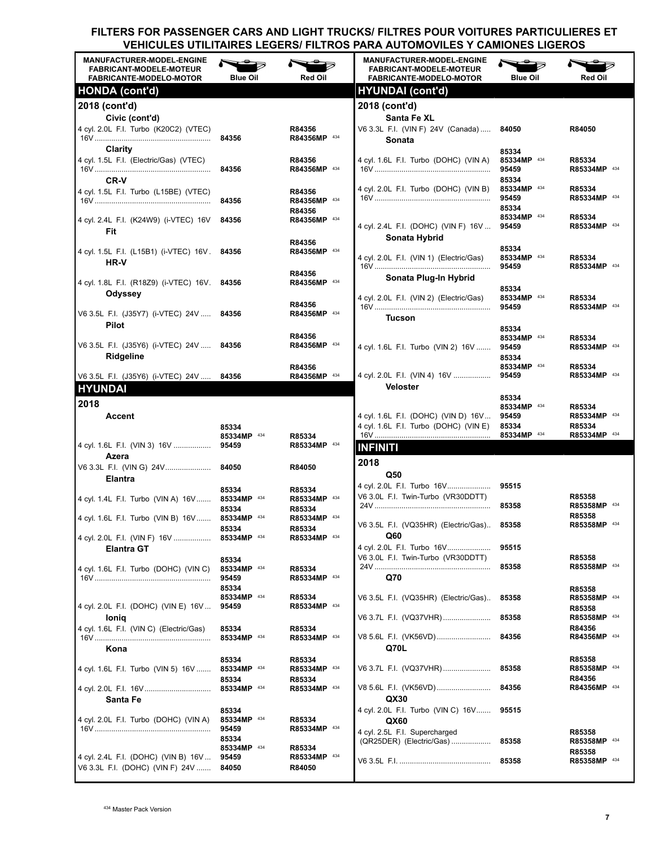| <b>MANUFACTURER-MODEL-ENGINE</b><br><b>FABRICANT-MODELE-MOTEUR</b><br><b>FABRICANTE-MODELO-MOTOR</b> | <b>Blue Oil</b>      | Red Oil                | <b>MANUFACTURER-MODEL-ENGINE</b><br><b>FABRICANT-MODELE-MOTEUR</b><br><b>FABRICANTE-MODELO-MOTOR</b> | <b>Blue Oil</b>      | Red Oil                |
|------------------------------------------------------------------------------------------------------|----------------------|------------------------|------------------------------------------------------------------------------------------------------|----------------------|------------------------|
| <b>HONDA</b> (cont'd)                                                                                |                      |                        | <b>HYUNDAI</b> (cont'd)                                                                              |                      |                        |
| 2018 (cont'd)                                                                                        |                      |                        | 2018 (cont'd)                                                                                        |                      |                        |
| Civic (cont'd)                                                                                       |                      |                        | <b>Santa Fe XL</b>                                                                                   |                      |                        |
| 4 cyl. 2.0L F.I. Turbo (K20C2) (VTEC)                                                                |                      | R84356                 | V6 3.3L F.I. (VIN F) 24V (Canada)                                                                    | 84050                | R84050                 |
|                                                                                                      | 84356                | R84356MP 434           | Sonata                                                                                               |                      |                        |
| Clarity                                                                                              |                      |                        |                                                                                                      | 85334                |                        |
| 4 cyl. 1.5L F.I. (Electric/Gas) (VTEC)                                                               | 84356                | R84356<br>R84356MP 434 | 4 cyl. 1.6L F.I. Turbo (DOHC) (VIN A)                                                                | 85334MP 434<br>95459 | R85334<br>R85334MP 434 |
| <b>CR-V</b>                                                                                          |                      |                        |                                                                                                      | 85334                |                        |
| 4 cyl. 1.5L F.I. Turbo (L15BE) (VTEC)                                                                |                      | R84356                 | 4 cyl. 2.0L F.I. Turbo (DOHC) (VIN B)                                                                | 85334MP 434          | R85334                 |
|                                                                                                      | 84356                | R84356MP 434           |                                                                                                      | 95459                | R85334MP 434           |
|                                                                                                      |                      | R84356                 |                                                                                                      | 85334<br>85334MP 434 |                        |
| 4 cyl. 2.4L  F.I. (K24W9) (i-VTEC) 16V                                                               | 84356                | R84356MP 434           | 4 cyl. 2.4L F.I. (DOHC) (VIN F) 16V                                                                  | 95459                | R85334<br>R85334MP 434 |
| Fit                                                                                                  |                      |                        | Sonata Hybrid                                                                                        |                      |                        |
| 4 cyl. 1.5L F.I. (L15B1) (i-VTEC) 16V. 84356                                                         |                      | R84356<br>R84356MP 434 |                                                                                                      | 85334                |                        |
| <b>HR-V</b>                                                                                          |                      |                        | 4 cyl. 2.0L F.I. (VIN 1) (Electric/Gas)                                                              | 85334MP 434          | R85334                 |
|                                                                                                      |                      | R84356                 |                                                                                                      | 95459                | R85334MP 434           |
| 4 cyl. 1.8L F.I. (R18Z9) (i-VTEC) 16V. 84356                                                         |                      | R84356MP 434           | Sonata Plug-In Hybrid                                                                                |                      |                        |
| Odyssey                                                                                              |                      |                        | 4 cyl. 2.0L F.I. (VIN 2) (Electric/Gas)                                                              | 85334<br>85334MP 434 | R85334                 |
|                                                                                                      |                      | R84356                 |                                                                                                      | 95459                | R85334MP 434           |
| V6 3.5L F.I. (J35Y7) (i-VTEC) 24V  84356                                                             |                      | R84356MP 434           | <b>Tucson</b>                                                                                        |                      |                        |
| <b>Pilot</b>                                                                                         |                      |                        |                                                                                                      | 85334                |                        |
|                                                                                                      |                      | R84356<br>R84356MP 434 |                                                                                                      | 85334MP 434          | R85334                 |
| V6 3.5L F.I. (J35Y6) (i-VTEC) 24V  84356                                                             |                      |                        | 4 cyl. 1.6L F.I. Turbo (VIN 2) 16V                                                                   | 95459                | R85334MP 434           |
| <b>Ridgeline</b>                                                                                     |                      | R84356                 |                                                                                                      | 85334<br>85334MP 434 | R85334                 |
| V6 3.5L F.I. (J35Y6) (i-VTEC) 24V  84356                                                             |                      | R84356MP 434           | 4 cyl. 2.0L F.I. (VIN 4) 16V                                                                         | 95459                | R85334MP 434           |
| <b>HYUNDAI</b>                                                                                       |                      |                        | <b>Veloster</b>                                                                                      |                      |                        |
| 2018                                                                                                 |                      |                        |                                                                                                      | 85334                |                        |
| <b>Accent</b>                                                                                        |                      |                        | 4 cyl. 1.6L F.I. (DOHC) (VIN D) 16V                                                                  | 85334MP 434<br>95459 | R85334<br>R85334MP 434 |
|                                                                                                      | 85334                |                        | 4 cyl. 1.6L F.I. Turbo (DOHC) (VIN E)                                                                | 85334                | R85334                 |
|                                                                                                      | 85334MP 434          | R85334                 |                                                                                                      | 85334MP 434          | R85334MP 434           |
| 4 cyl. 1.6L F.I. (VIN 3) 16V                                                                         | 95459                | R85334MP 434           | <b>INFINITI</b>                                                                                      |                      |                        |
| Azera                                                                                                |                      |                        | 2018                                                                                                 |                      |                        |
| V6 3.3L  F.I.  (VIN G)  24V…………………                                                                   | 84050                | R84050                 |                                                                                                      |                      |                        |
| <b>Elantra</b>                                                                                       |                      |                        | Q50<br>4 cyl. 2.0L F.I. Turbo 16V                                                                    | 95515                |                        |
|                                                                                                      | 85334<br>85334MP 434 | R85334                 | V6 3.0L F.I. Twin-Turbo (VR30DDTT)                                                                   |                      | R85358                 |
| 4 cyl. 1.4L F.I. Turbo (VIN A) 16V                                                                   | 85334                | R85334MP 434<br>R85334 |                                                                                                      | 85358                | R85358MP 434           |
| 4 cyl. 1.6L F.I. Turbo (VIN B) 16V                                                                   | 85334MP 434          | R85334MP 434           |                                                                                                      |                      | R85358                 |
|                                                                                                      | 85334                | R85334                 | V6 3.5L F.I. (VQ35HR) (Electric/Gas)                                                                 | 85358                | R85358MP 434           |
| 4 cyl. 2.0L  F.I.  (VIN F)  16V                                                                      | 85334MP 434          | R85334MP 434           | Q60                                                                                                  |                      |                        |
| <b>Elantra GT</b>                                                                                    |                      |                        | 4 cyl. 2.0L F.I. Turbo 16V<br>V6 3.0L F.I. Twin-Turbo (VR30DDTT)                                     | 95515                |                        |
| 4 cyl. 1.6L F.I. Turbo (DOHC) (VIN C)                                                                | 85334<br>85334MP 434 | R85334                 |                                                                                                      | 85358                | R85358<br>R85358MP 434 |
|                                                                                                      | 95459                | R85334MP 434           | Q70                                                                                                  |                      |                        |
|                                                                                                      | 85334                |                        |                                                                                                      |                      | R85358                 |
|                                                                                                      | 85334MP 434          | R85334                 | V6 3.5L F.I. (VQ35HR) (Electric/Gas)                                                                 | 85358                | R85358MP 434           |
| 4 cyl. 2.0L F.I. (DOHC) (VIN E) 16V                                                                  | 95459                | R85334MP 434           |                                                                                                      |                      | R85358                 |
| loniq                                                                                                |                      |                        | V6 3.7L F.I. (VQ37VHR)                                                                               | 85358                | R85358MP 434           |
| 4 cyl. 1.6L F.I. (VIN C) (Electric/Gas)                                                              | 85334<br>85334MP 434 | R85334<br>R85334MP 434 | V8 5.6L F.I. (VK56VD)                                                                                | 84356                | R84356<br>R84356MP 434 |
| Kona                                                                                                 |                      |                        | Q70L                                                                                                 |                      |                        |
|                                                                                                      | 85334                | R85334                 |                                                                                                      |                      | R85358                 |
| 4 cyl. 1.6L F.I. Turbo (VIN 5) 16V                                                                   | 85334MP 434          | R85334MP 434           | V6 3.7L F.I. (VQ37VHR)                                                                               | 85358                | R85358MP 434           |
|                                                                                                      | 85334                | R85334                 |                                                                                                      |                      | R84356                 |
|                                                                                                      | 85334MP 434          | R85334MP 434           | V8 5.6L F.I. (VK56VD)<br>QX30                                                                        | 84356                | R84356MP 434           |
| Santa Fe                                                                                             |                      |                        | 4 cyl. 2.0L F.I. Turbo (VIN C) 16V                                                                   | 95515                |                        |
| 4 cyl. 2.0L F.I. Turbo (DOHC) (VIN A)                                                                | 85334<br>85334MP 434 | R85334                 | QX60                                                                                                 |                      |                        |
|                                                                                                      | 95459                | R85334MP 434           | 4 cyl. 2.5L F.I. Supercharged                                                                        |                      | R85358                 |
|                                                                                                      | 85334                |                        | (QR25DER) (Electric/Gas)                                                                             | 85358                | R85358MP 434           |
|                                                                                                      | 85334MP 434          | R85334<br>R85334MP 434 |                                                                                                      |                      | R85358                 |
| 4 cyl. 2.4L F.I. (DOHC) (VIN B) 16V<br>V6 3.3L F.I. (DOHC) (VIN F) 24V                               | 95459<br>84050       | R84050                 |                                                                                                      | 85358                | R85358MP 434           |
|                                                                                                      |                      |                        |                                                                                                      |                      |                        |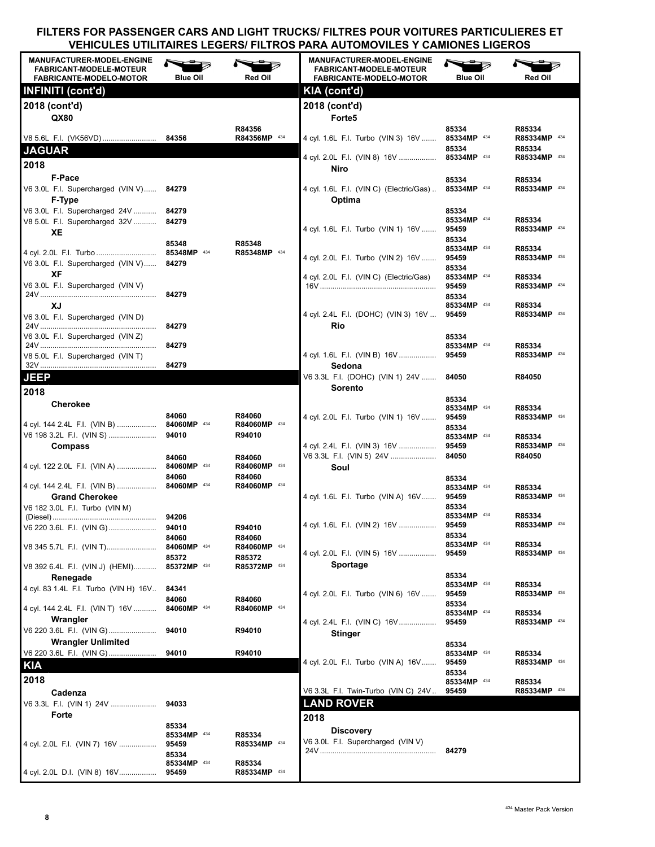| <b>MANUFACTURER-MODEL-ENGINE</b><br><b>FABRICANT-MODELE-MOTEUR</b><br>FABRICANTE-MODELO-MOTOR | <b>Blue Oil</b>      | Red Oil                | <b>MANUFACTURER-MODEL-ENGINE</b><br><b>FABRICANT-MODELE-MOTEUR</b><br>FABRICANTE-MODELO-MOTOR | ∽<br><b>Blue Oil</b>          | Red Oil                |
|-----------------------------------------------------------------------------------------------|----------------------|------------------------|-----------------------------------------------------------------------------------------------|-------------------------------|------------------------|
| <b>INFINITI (cont'd)</b>                                                                      |                      |                        | KIA (cont'd)                                                                                  |                               |                        |
| 2018 (cont'd)<br>QX80                                                                         |                      |                        | 2018 (cont'd)<br>Forte <sub>5</sub>                                                           |                               |                        |
| V8 5.6L F.I. (VK56VD)                                                                         | 84356                | R84356<br>R84356MP 434 | 4 cyl. 1.6L F.I. Turbo (VIN 3) 16V                                                            | 85334<br>85334MP 434          | R85334<br>R85334MP 434 |
| <b>JAGUAR</b>                                                                                 |                      |                        | 4 cyl. 2.0L F.I. (VIN 8) 16V  85334MP 434                                                     | 85334                         | R85334<br>R85334MP 434 |
| 2018                                                                                          |                      |                        | Niro                                                                                          |                               |                        |
| F-Pace<br>V6 3.0L F.I. Supercharged (VIN V) 84279                                             |                      |                        | 4 cyl. 1.6L F.I. (VIN C) (Electric/Gas)                                                       | 85334<br>85334MP 434          | R85334<br>R85334MP 434 |
| F-Type                                                                                        |                      |                        | Optima                                                                                        |                               |                        |
| V6 3.0L F.I. Supercharged 24V  84279<br>V8 5.0L F.I. Supercharged 32V  84279<br>XE            |                      |                        | 4 cyl. 1.6L F.I. Turbo (VIN 1) 16V                                                            | 85334<br>85334MP 434<br>95459 | R85334<br>R85334MP 434 |
|                                                                                               | 85348                | R85348                 |                                                                                               | 85334                         |                        |
| 4 cyl. 2.0L F.I. Turbo  85348MP 434<br>V6 3.0L F.I. Supercharged (VIN V) 84279                |                      | R85348MP 434           | 4 cyl. 2.0L F.I. Turbo (VIN 2) 16V                                                            | 85334MP 434<br>95459<br>85334 | R85334<br>R85334MP 434 |
| XF<br>V6 3.0L F.I. Supercharged (VIN V)                                                       |                      |                        | 4 cyl. 2.0L F.I. (VIN C) (Electric/Gas)                                                       | 85334MP 434<br>95459          | R85334<br>R85334MP 434 |
| XJ                                                                                            | 84279                |                        |                                                                                               | 85334<br>85334MP 434          |                        |
| V6 3.0L F.I. Supercharged (VIN D)                                                             | 84279                |                        | 4 cyl. 2.4L F.I. (DOHC) (VIN 3) 16V<br>Rio                                                    | 95459                         | R85334<br>R85334MP 434 |
| V6 3.0L F.I. Supercharged (VIN Z)                                                             |                      |                        |                                                                                               | 85334                         |                        |
| V8 5.0L F.I. Supercharged (VIN T)                                                             | 84279                |                        | 4 cyl. 1.6L F.I. (VIN B) 16V                                                                  | 85334MP 434<br>95459          | R85334<br>R85334MP 434 |
|                                                                                               | 84279                |                        | Sedona                                                                                        |                               |                        |
| <b>JEEP</b>                                                                                   |                      |                        | V6 3.3L F.I. (DOHC) (VIN 1) 24V                                                               | 84050                         | R84050                 |
| 2018                                                                                          |                      |                        | Sorento                                                                                       |                               |                        |
| <b>Cherokee</b>                                                                               |                      |                        |                                                                                               | 85334<br>85334MP 434          | R85334                 |
|                                                                                               | 84060                | R84060                 | 4 cyl. 2.0L F.I. Turbo (VIN 1) 16V                                                            | 95459                         | R85334MP 434           |
| 4 cyl. 144 2.4L F.I. (VIN B)  84060MP 434                                                     |                      | R84060MP 434<br>R94010 |                                                                                               | 85334<br>85334MP 434          | R85334                 |
| <b>Compass</b>                                                                                |                      |                        | 4 cyl. 2.4L F.I. (VIN 3) 16V                                                                  | 95459                         | R85334MP 434           |
| 4 cyl. 122 2.0L F.I. (VIN A)  84060MP 434                                                     | 84060                | R84060                 | V6 3.3L F.I. (VIN 5) 24V                                                                      | 84050                         | R84050                 |
|                                                                                               | 84060                | R84060MP 434<br>R84060 | Soul                                                                                          | 85334                         |                        |
| 4 cyl. 144 2.4L F.I. (VIN B)  84060MP 434                                                     |                      | R84060MP 434           |                                                                                               | 85334MP 434                   | R85334                 |
| <b>Grand Cherokee</b>                                                                         |                      |                        | 4 cyl. 1.6L F.I. Turbo (VIN A) 16V                                                            | 95459                         | R85334MP 434           |
| V6 182 3.0L F.I. Turbo (VIN M)                                                                |                      |                        |                                                                                               | 85334<br>85334MP 434          | R85334                 |
| V6 220 3.6L   F.I.   (VIN  G)                                                                 | 94010                | R94010                 | 4 cyl. 1.6L F.I. (VIN 2) 16V                                                                  | 95459                         | R85334MP 434           |
|                                                                                               | 84060                | R84060                 |                                                                                               | 85334<br>85334MP 434          | R85334                 |
| V8 345 5.7L F.I. (VIN T)                                                                      | 84060MP 434<br>85372 | R84060MP 434<br>R85372 | 4 cyl. 2.0L F.I. (VIN 5) 16V                                                                  | 95459                         | R85334MP 434           |
| V8 392 6.4L F.I. (VIN J) (HEMI)                                                               | 85372MP 434          | R85372MP 434           | Sportage                                                                                      |                               |                        |
| Renegade<br>4 cyl. 83 1.4L F.I. Turbo (VIN H) 16V                                             | 84341                |                        |                                                                                               | 85334<br>85334MP 434          | R85334                 |
|                                                                                               | 84060                | R84060                 | 4 cyl. 2.0L F.I. Turbo (VIN 6) 16V                                                            | 95459                         | R85334MP 434           |
| 4 cyl. 144 2.4L F.I. (VIN T) 16V                                                              | 84060MP 434          | R84060MP 434           |                                                                                               | 85334<br>85334MP 434          | R85334                 |
| Wrangler<br>V6 220 3.6L F.I. (VIN G)                                                          | 94010                | R94010                 | 4 cyl. 2.4L F.I. (VIN C) 16V                                                                  | 95459                         | R85334MP 434           |
| <b>Wrangler Unlimited</b>                                                                     |                      |                        | Stinger                                                                                       |                               |                        |
| V6 220 3.6L F.I. (VIN G)                                                                      | 94010                | R94010                 |                                                                                               | 85334<br>85334MP 434          | R85334                 |
| <b>KIA</b>                                                                                    |                      |                        | 4 cyl. 2.0L F.I. Turbo (VIN A) 16V                                                            | 95459                         | R85334MP 434           |
| 2018                                                                                          |                      |                        |                                                                                               | 85334<br>85334MP 434          | R85334                 |
| Cadenza                                                                                       |                      |                        | V6 3.3L F.I. Twin-Turbo (VIN C) 24V                                                           | 95459                         | R85334MP 434           |
|                                                                                               |                      |                        | <b>LAND ROVER</b>                                                                             |                               |                        |
| Forte                                                                                         |                      |                        | 2018                                                                                          |                               |                        |
|                                                                                               | 85334<br>85334MP 434 | R85334                 | <b>Discovery</b>                                                                              |                               |                        |
| 4 cyl. 2.0L F.I. (VIN 7) 16V                                                                  | 95459                | R85334MP 434           | V6 3.0L F.I. Supercharged (VIN V)                                                             |                               |                        |
|                                                                                               | 85334<br>85334MP 434 | R85334                 |                                                                                               | 84279                         |                        |
| 4 cyl. 2.0L D.I. (VIN 8) 16V                                                                  | 95459                | R85334MP 434           |                                                                                               |                               |                        |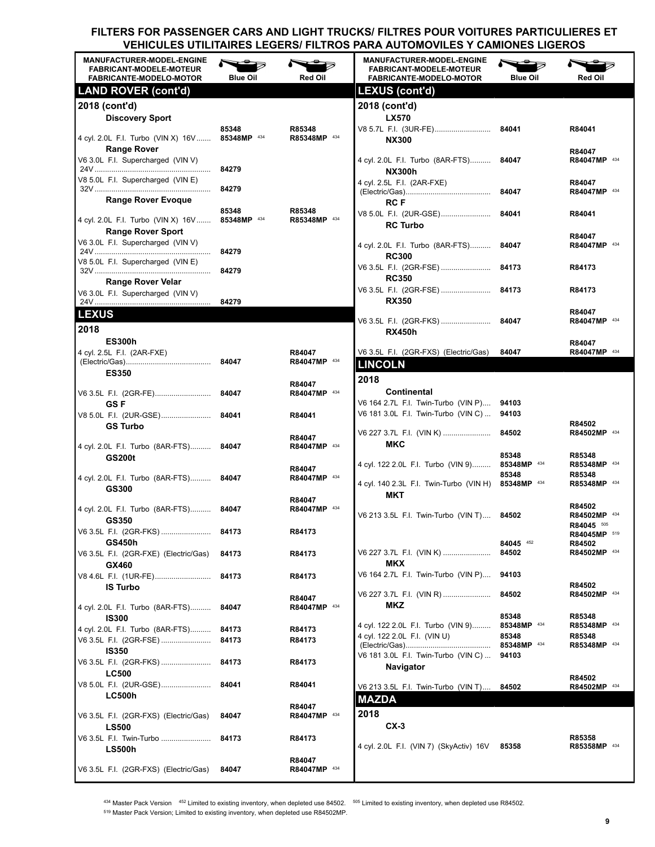| <b>MANUFACTURER-MODEL-ENGINE</b><br><b>FABRICANT-MODELE-MOTEUR</b><br><b>FABRICANTE-MODELO-MOTOR</b> | <b>Blue Oil</b>      | <b>Red Oil</b>         | <b>MANUFACTURER-MODEL-ENGINE</b><br><b>FABRICANT-MODELE-MOTEUR</b><br>FABRICANTE-MODELO-MOTOR    | <b>Blue Oil</b>               | <b>Red Oil</b>                         |
|------------------------------------------------------------------------------------------------------|----------------------|------------------------|--------------------------------------------------------------------------------------------------|-------------------------------|----------------------------------------|
| <b>LAND ROVER (cont'd)</b>                                                                           |                      |                        | LEXUS (cont'd)                                                                                   |                               |                                        |
| 2018 (cont'd)<br><b>Discovery Sport</b>                                                              |                      |                        | 2018 (cont'd)<br><b>LX570</b>                                                                    |                               |                                        |
| 4 cyl. 2.0L F.I. Turbo (VIN X) 16V                                                                   | 85348<br>85348MP 434 | R85348<br>R85348MP 434 | <b>NX300</b>                                                                                     |                               | R84041                                 |
| <b>Range Rover</b><br>V6 3.0L F.I. Supercharged (VIN V)                                              | 84279                |                        | 4 cyl. 2.0L F.I. Turbo (8AR-FTS)                                                                 | 84047                         | R84047<br>R84047MP 434                 |
| V8 5.0L F.I. Supercharged (VIN E)                                                                    | 84279                |                        | <b>NX300h</b><br>4 cyl. 2.5L F.I. (2AR-FXE)                                                      | 84047                         | R84047<br>R84047MP 434                 |
| <b>Range Rover Evoque</b><br>4 cyl. 2.0L F.I. Turbo (VIN X) 16V                                      | 85348<br>85348MP 434 | R85348<br>R85348MP 434 | <b>RCF</b><br>V8 5.0L F.I. (2UR-GSE)                                                             | 84041                         | R84041                                 |
| <b>Range Rover Sport</b><br>V6 3.0L F.I. Supercharged (VIN V)                                        |                      |                        | <b>RC Turbo</b>                                                                                  |                               | R84047                                 |
| V8 5.0L F.I. Supercharged (VIN E)                                                                    | 84279                |                        | 4 cyl. 2.0L F.I. Turbo (8AR-FTS)<br><b>RC300</b><br>V6 3.5L F.I. (2GR-FSE)                       | 84047<br>84173                | R84047MP 434<br>R84173                 |
| <b>Range Rover Velar</b>                                                                             | 84279                |                        | <b>RC350</b><br>V6 3.5L F.I. (2GR-FSE)  84173                                                    |                               | R84173                                 |
| V6 3.0L F.I. Supercharged (VIN V)<br><b>LEXUS</b>                                                    | 84279                |                        | <b>RX350</b>                                                                                     |                               | R84047                                 |
| 2018                                                                                                 |                      |                        | <b>RX450h</b>                                                                                    |                               | R84047MP 434                           |
| <b>ES300h</b><br>4 cyl. 2.5L F.I. (2AR-FXE)                                                          | 84047                | R84047<br>R84047MP 434 | V6 3.5L F.I. (2GR-FXS) (Electric/Gas)<br><b>LINCOLN</b>                                          | 84047                         | R84047<br>R84047MP 434                 |
| <b>ES350</b>                                                                                         |                      | R84047                 | 2018                                                                                             |                               |                                        |
| <b>GSF</b>                                                                                           | 84047                | R84047MP 434           | Continental<br>V6 164 2.7L F.I. Twin-Turbo (VIN P)                                               | 94103                         |                                        |
| V8 5.0L F.I. (2UR-GSE)<br><b>GS Turbo</b>                                                            | 84041                | R84041                 | V6 181 3.0L F.I. Twin-Turbo (VIN C)<br>V6 227 3.7L F.I. (VIN K)                                  | 94103<br>84502                | R84502<br>R84502MP 434                 |
| 4 cyl. 2.0L F.I. Turbo (8AR-FTS) 84047<br><b>GS200t</b>                                              |                      | R84047<br>R84047MP 434 | MKC                                                                                              | 85348                         | R85348                                 |
| 4 cyl. 2.0L F.I. Turbo (8AR-FTS) 84047<br>GS300                                                      |                      | R84047<br>R84047MP 434 | 4 cyl. 122 2.0L F.I. Turbo (VIN 9)<br>4 cyl. 140 2.3L F.I. Twin-Turbo (VIN H) 85348MP 434<br>MKT | 85348MP 434<br>85348          | R85348MP 434<br>R85348<br>R85348MP 434 |
| 4 cyl. 2.0L F.I. Turbo (8AR-FTS) 84047<br>GS350                                                      |                      | R84047<br>R84047MP 434 | V6 213 3.5L F.I. Twin-Turbo (VIN T) 84502                                                        |                               | R84502<br>R84502MP 434                 |
| <b>GS450h</b>                                                                                        |                      | R84173                 |                                                                                                  | 84045 452                     | R84045 505<br>R84045MP 519<br>R84502   |
| V6 3.5L F.I. (2GR-FXE) (Electric/Gas)<br>GX460                                                       | 84173                | R84173                 | V6 227 3.7L F.I. (VIN K)<br><b>MKX</b>                                                           | 84502                         | R84502MP 434                           |
| V8 4.6L F.I. (1UR-FE)<br><b>IS Turbo</b>                                                             | 84173                | R84173                 | V6 164 2.7L F.I. Twin-Turbo (VIN P)<br>V6 227 3.7L F.I. (VIN R)                                  | 94103<br>84502                | R84502<br>R84502MP 434                 |
| 4 cyl. 2.0L F.I. Turbo (8AR-FTS)<br><b>IS300</b>                                                     | 84047                | R84047<br>R84047MP 434 | MKZ                                                                                              | 85348                         | R85348                                 |
| 4 cyl. 2.0L F.I. Turbo (8AR-FTS)                                                                     | 84173                | R84173                 | 4 cyl. 122 2.0L F.I. Turbo (VIN 9)                                                               | 85348MP 434                   | R85348MP 434                           |
| <b>IS350</b>                                                                                         | 84173                | R84173                 | 4 cyl. 122 2.0L F.I. (VIN U)<br>V6 181 3.0L F.I. Twin-Turbo (VIN C)                              | 85348<br>85348MP 434<br>94103 | R85348<br>R85348MP 434                 |
| <b>LC500</b>                                                                                         | 84173                | R84173                 | Navigator                                                                                        |                               | R84502                                 |
| V8 5.0L F.I. (2UR-GSE)<br><b>LC500h</b>                                                              | 84041                | R84041<br>R84047       | V6 213 3.5L F.I. Twin-Turbo (VIN T)<br><b>MAZDA</b>                                              | 84502                         | R84502MP 434                           |
| V6 3.5L F.I. (2GR-FXS) (Electric/Gas)<br><b>LS500</b>                                                | 84047                | R84047MP 434           | 2018<br>$CX-3$                                                                                   |                               |                                        |
| V6 3.5L F.I. Twin-Turbo<br><b>LS500h</b>                                                             | 84173                | R84173                 | 4 cyl. 2.0L F.I. (VIN 7) (SkyActiv) 16V                                                          | 85358                         | R85358<br>R85358MP 434                 |
| V6 3.5L F.I. (2GR-FXS) (Electric/Gas)                                                                | 84047                | R84047<br>R84047MP 434 |                                                                                                  |                               |                                        |

434 Master Pack Version 452 Limited to existing inventory, when depleted use 84502. 505 Limited to existing inventory, when depleted use R84502. <sup>519</sup> Master Pack Version; Limited to existing inventory, when depleted use R84502MP.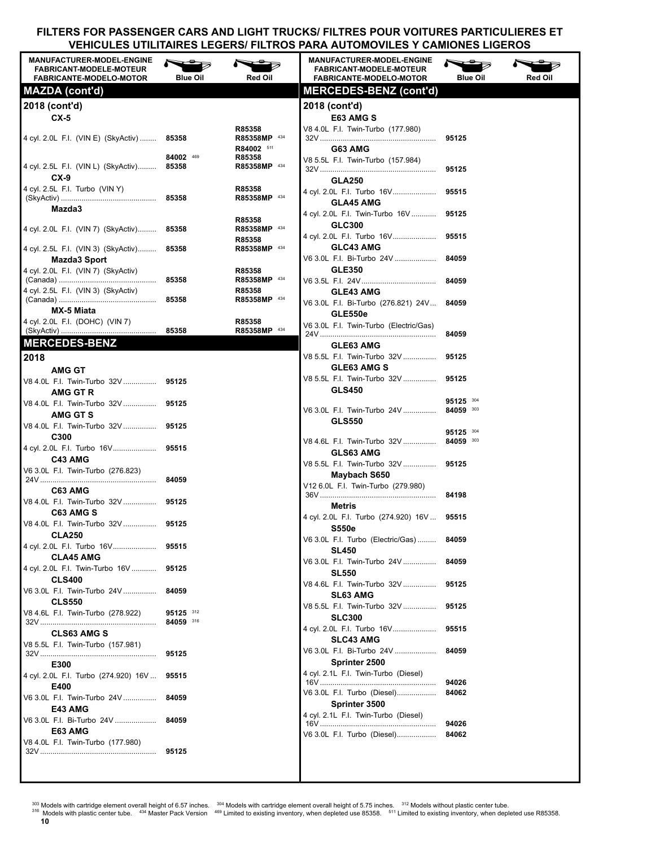| <b>MANUFACTURER-MODEL-ENGINE</b><br><b>FABRICANT-MODELE-MOTEUR</b> |                 |                        | <b>MANUFACTURER-MODEL-ENGINE</b><br><b>FABRICANT-MODELE-MOTEUR</b> |                        |         |
|--------------------------------------------------------------------|-----------------|------------------------|--------------------------------------------------------------------|------------------------|---------|
| <b>FABRICANTE-MODELO-MOTOR</b>                                     | <b>Blue Oil</b> | <b>Red Oil</b>         | <b>FABRICANTE-MODELO-MOTOR</b><br><b>MERCEDES-BENZ (cont'd)</b>    | <b>Blue Oil</b>        | Red Oil |
| MAZDA (cont'd)                                                     |                 |                        |                                                                    |                        |         |
| 2018 (cont'd)                                                      |                 |                        | 2018 (cont'd)                                                      |                        |         |
| $CX-5$                                                             |                 | R85358                 | E63 AMG S<br>V8 4.0L F.I. Twin-Turbo (177.980)                     |                        |         |
| 4 cyl. 2.0L F.I. (VIN E) (SkyActiv) 85358                          |                 | R85358MP 434           |                                                                    | 95125                  |         |
|                                                                    |                 | R84002 511             | G63 AMG                                                            |                        |         |
| 4 cyl. 2.5L F.I. (VIN L) (SkyActiv) 85358                          | 84002 469       | R85358<br>R85358MP 434 | V8 5.5L F.I. Twin-Turbo (157.984)                                  |                        |         |
| $CX-9$                                                             |                 |                        | <b>GLA250</b>                                                      | 95125                  |         |
| 4 cyl. 2.5L F.I. Turbo (VIN Y)                                     |                 | R85358                 | 4 cyl. 2.0L F.I. Turbo 16V                                         | 95515                  |         |
|                                                                    |                 | R85358MP 434           | <b>GLA45 AMG</b>                                                   |                        |         |
| Mazda3                                                             |                 | R85358                 | 4 cyl. 2.0L F.I. Twin-Turbo 16V                                    | 95125                  |         |
| 4 cyl. 2.0L F.I. (VIN 7) (SkyActiv) 85358                          |                 | R85358MP 434           | <b>GLC300</b>                                                      |                        |         |
|                                                                    |                 | R85358                 | 4 cyl. 2.0L F.I. Turbo 16V<br><b>GLC43 AMG</b>                     | 95515                  |         |
| 4 cyl. 2.5L F.I. (VIN 3) (SkyActiv) 85358<br>Mazda3 Sport          |                 | R85358MP 434           | V6 3.0L F.I. Bi-Turbo 24V                                          | 84059                  |         |
| 4 cyl. 2.0L F.I. (VIN 7) (SkyActiv)                                |                 | R85358                 | <b>GLE350</b>                                                      |                        |         |
|                                                                    | 85358           | R85358MP 434           |                                                                    | 84059                  |         |
| 4 cyl. 2.5L F.I. (VIN 3) (SkyActiv)                                |                 | R85358<br>R85358MP 434 | <b>GLE43 AMG</b>                                                   |                        |         |
| MX-5 Miata                                                         |                 |                        | V6 3.0L F.I. Bi-Turbo (276.821) 24V                                | 84059                  |         |
| 4 cyl. 2.0L F.I. (DOHC) (VIN 7)                                    |                 | R85358                 | <b>GLE550e</b><br>V6 3.0L F.I. Twin-Turbo (Electric/Gas)           |                        |         |
|                                                                    | 85358           | R85358MP 434           |                                                                    | 84059                  |         |
| <b>MERCEDES-BENZ</b>                                               |                 |                        | <b>GLE63 AMG</b>                                                   |                        |         |
| 2018                                                               |                 |                        | V8 5.5L F.I. Twin-Turbo 32V                                        | 95125                  |         |
| <b>AMG GT</b>                                                      |                 |                        | <b>GLE63 AMG S</b><br>V8 5.5L F.I. Twin-Turbo 32V                  | 95125                  |         |
| V8 4.0L F.I. Twin-Turbo 32V  95125<br>AMG GT R                     |                 |                        | <b>GLS450</b>                                                      |                        |         |
| V8 4.0L F.I. Twin-Turbo 32V 95125                                  |                 |                        |                                                                    | 95125 304              |         |
| <b>AMG GT S</b>                                                    |                 |                        | V6 3.0L F.I. Twin-Turbo 24V                                        | 84059 303              |         |
| V8 4.0L F.I. Twin-Turbo 32V  95125                                 |                 |                        | <b>GLS550</b>                                                      |                        |         |
| C300                                                               |                 |                        | V8 4.6L F.I. Twin-Turbo 32V                                        | 95125 304<br>84059 303 |         |
| 4 cyl. 2.0L F.I. Turbo 16V 95515                                   |                 |                        | <b>GLS63 AMG</b>                                                   |                        |         |
| C43 AMG<br>V6 3.0L F.I. Twin-Turbo (276.823)                       |                 |                        | V8 5.5L F.I. Twin-Turbo 32V                                        | 95125                  |         |
|                                                                    | 84059           |                        | Maybach S650                                                       |                        |         |
| C63 AMG                                                            |                 |                        | V12 6.0L F.I. Twin-Turbo (279.980)                                 | 84198                  |         |
| V8 4.0L F.I. Twin-Turbo 32V  95125                                 |                 |                        | Metris                                                             |                        |         |
| C63 AMG S<br>V8 4.0L F.I. Twin-Turbo 32V  95125                    |                 |                        | 4 cyl. 2.0L  F.I. Turbo (274.920) 16V <b>95515</b>                 |                        |         |
| <b>CLA250</b>                                                      |                 |                        | <b>S550e</b>                                                       |                        |         |
| 4 cyl. 2.0L F.I. Turbo 16V 95515                                   |                 |                        | V6 3.0L F.I. Turbo (Electric/Gas)<br><b>SL450</b>                  | 84059                  |         |
| <b>CLA45 AMG</b>                                                   |                 |                        | V6 3.0L F.I. Twin-Turbo 24V                                        | 84059                  |         |
| 4 cyl. 2.0L F.I. Twin-Turbo 16V  95125                             |                 |                        | <b>SL550</b>                                                       |                        |         |
| <b>CLS400</b><br>V6 3.0L F.I. Twin-Turbo 24V  84059                |                 |                        | V8 4.6L F.I. Twin-Turbo 32V                                        | 95125                  |         |
| <b>CLS550</b>                                                      |                 |                        | <b>SL63 AMG</b>                                                    |                        |         |
| V8 4.6L F.I. Twin-Turbo (278.922)                                  | 95125 312       |                        | V8 5.5L F.I. Twin-Turbo 32V<br><b>SLC300</b>                       | 95125                  |         |
|                                                                    | 84059 316       |                        | 4 cyl. 2.0L F.I. Turbo 16V                                         | 95515                  |         |
| <b>CLS63 AMG S</b><br>V8 5.5L F.I. Twin-Turbo (157.981)            |                 |                        | <b>SLC43 AMG</b>                                                   |                        |         |
|                                                                    | 95125           |                        | V6 3.0L F.I. Bi-Turbo 24V                                          | 84059                  |         |
| E300                                                               |                 |                        | Sprinter 2500                                                      |                        |         |
| 4 cyl. 2.0L F.I. Turbo (274.920) 16V  95515                        |                 |                        | 4 cyl. 2.1L F.I. Twin-Turbo (Diesel)                               | 94026                  |         |
| E400                                                               |                 |                        | V6 3.0L F.I. Turbo (Diesel)                                        | 84062                  |         |
| V6 3.0L F.I. Twin-Turbo 24V<br>E43 AMG                             | 84059           |                        | Sprinter 3500                                                      |                        |         |
| V6 3.0L F.I. Bi-Turbo 24V                                          | 84059           |                        | 4 cyl. 2.1L F.I. Twin-Turbo (Diesel)                               |                        |         |
| E63 AMG                                                            |                 |                        | V6 3.0L F.I. Turbo (Diesel)                                        | 94026<br>84062         |         |
| V8 4.0L F.I. Twin-Turbo (177.980)                                  |                 |                        |                                                                    |                        |         |
|                                                                    | 95125           |                        |                                                                    |                        |         |
|                                                                    |                 |                        |                                                                    |                        |         |
|                                                                    |                 |                        |                                                                    |                        |         |

- <sup>303</sup> Models with cartridge element overall height of 6.57 inches. <sup>304</sup> Models with cartridge element overall height of 5.75 inches. <sup>312</sup> Models without plastic center tube.<br><sup>316</sup> Models with plastic center tube. <sup>434</sup> M
- **10**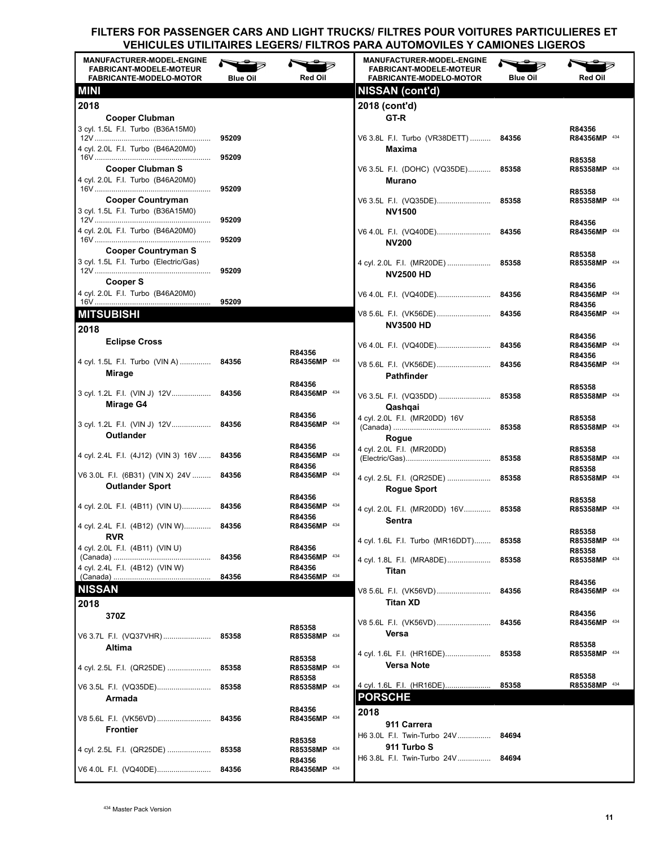| <b>MANUFACTURER-MODEL-ENGINE</b><br><b>FABRICANT-MODELE-MOTEUR</b><br><b>FABRICANTE-MODELO-MOTOR</b> | <b>Blue Oil</b> | <b>Red Oil</b>         | <b>MANUFACTURER-MODEL-ENGINE</b><br><b>FABRICANT-MODELE-MOTEUR</b><br><b>FABRICANTE-MODELO-MOTOR</b> | <b>Blue Oil</b> | Red Oil                |
|------------------------------------------------------------------------------------------------------|-----------------|------------------------|------------------------------------------------------------------------------------------------------|-----------------|------------------------|
| <b>MINI</b>                                                                                          |                 |                        | <b>NISSAN (cont'd)</b>                                                                               |                 |                        |
| 2018                                                                                                 |                 |                        | 2018 (cont'd)                                                                                        |                 |                        |
| <b>Cooper Clubman</b>                                                                                |                 |                        | GT-R                                                                                                 |                 |                        |
| 3 cyl. 1.5L F.I. Turbo (B36A15M0)                                                                    |                 |                        |                                                                                                      |                 | R84356                 |
| 4 cyl. 2.0L F.I. Turbo (B46A20M0)                                                                    | 95209           |                        | V6 3.8L F.I. Turbo (VR38DETT) 84356<br>Maxima                                                        |                 | R84356MP 434           |
|                                                                                                      | 95209           |                        |                                                                                                      |                 | R85358                 |
| <b>Cooper Clubman S</b>                                                                              |                 |                        | V6 3.5L F.I. (DOHC) (VQ35DE) 85358                                                                   |                 | R85358MP 434           |
| 4 cyl. 2.0L F.I. Turbo (B46A20M0)                                                                    | 95209           |                        | Murano                                                                                               |                 |                        |
| <b>Cooper Countryman</b>                                                                             |                 |                        | V6 3.5L F.I. (VQ35DE) 85358                                                                          |                 | R85358<br>R85358MP 434 |
| 3 cyl. 1.5L F.I. Turbo (B36A15M0)                                                                    |                 |                        | NV1500                                                                                               |                 |                        |
| 4 cyl. 2.0L F.I. Turbo (B46A20M0)                                                                    | 95209           |                        |                                                                                                      |                 | R84356                 |
|                                                                                                      | 95209           |                        | V6 4.0L F.I. (VQ40DE) 84356<br><b>NV200</b>                                                          |                 | R84356MP 434           |
| <b>Cooper Countryman S</b>                                                                           |                 |                        |                                                                                                      |                 | R85358                 |
| 3 cyl. 1.5L F.I. Turbo (Electric/Gas)                                                                | 95209           |                        | 4 cyl. 2.0L F.I. (MR20DE)  85358                                                                     |                 | R85358MP 434           |
| Cooper S                                                                                             |                 |                        | <b>NV2500 HD</b>                                                                                     |                 |                        |
| 4 cyl. 2.0L F.I. Turbo (B46A20M0)                                                                    |                 |                        | V6 4.0L F.I. (VQ40DE) 84356                                                                          |                 | R84356<br>R84356MP 434 |
|                                                                                                      | 95209           |                        |                                                                                                      |                 | R84356                 |
| <b>MITSUBISHI</b>                                                                                    |                 |                        | V8 5.6L F.I. (VK56DE)<br><b>NV3500 HD</b>                                                            | 84356           | R84356MP 434           |
| 2018                                                                                                 |                 |                        |                                                                                                      |                 | R84356                 |
| <b>Eclipse Cross</b>                                                                                 |                 | R84356                 | V6 4.0L F.I. (VQ40DE)                                                                                | 84356           | R84356MP 434           |
| 4 cyl. 1.5L F.I. Turbo (VIN A)  84356                                                                |                 | R84356MP 434           | V8 5.6L F.I. (VK56DE)                                                                                | 84356           | R84356<br>R84356MP 434 |
| Mirage                                                                                               |                 |                        | <b>Pathfinder</b>                                                                                    |                 |                        |
| 3 cyl. 1.2L F.I. (VIN J) 12V                                                                         | 84356           | R84356<br>R84356MP 434 |                                                                                                      |                 | R85358                 |
| Mirage G4                                                                                            |                 |                        | V6 3.5L F.I. (VQ35DD)<br>Qashqai                                                                     | 85358           | R85358MP 434           |
|                                                                                                      |                 | R84356                 | 4 cyl. 2.0L F.I. (MR20DD) 16V                                                                        |                 | R85358                 |
| 3 cyl. 1.2L F.I. (VIN J) 12V 84356<br>Outlander                                                      |                 | R84356MP 434           |                                                                                                      | 85358           | R85358MP 434           |
|                                                                                                      |                 | R84356                 | Rogue<br>4 cyl. 2.0L F.I. (MR20DD)                                                                   |                 | R85358                 |
| 4 cyl. 2.4L F.I. (4J12) (VIN 3) 16V  84356                                                           |                 | R84356MP 434           |                                                                                                      |                 | R85358MP 434           |
| V6 3.0L F.I. (6B31) (VIN X) 24V  84356                                                               |                 | R84356<br>R84356MP 434 |                                                                                                      |                 | R85358                 |
| <b>Outlander Sport</b>                                                                               |                 |                        | 4 cyl. 2.5L F.I. (QR25DE)  85358<br>Rogue Sport                                                      |                 | R85358MP 434           |
|                                                                                                      |                 | R84356                 |                                                                                                      |                 | R85358                 |
| 4 cyl. 2.0L F.I. (4B11) (VIN U) 84356                                                                |                 | R84356MP 434<br>R84356 | 4 cyl. 2.0L F.I. (MR20DD) 16V 85358                                                                  |                 | R85358MP 434           |
| 4 cyl. 2.4L F.I. (4B12) (VIN W) 84356                                                                |                 | R84356MP 434           | Sentra                                                                                               |                 | R85358                 |
| <b>RVR</b>                                                                                           |                 |                        | 4 cyl. 1.6L F.I. Turbo (MR16DDT) 85358                                                               |                 | R85358MP 434           |
| 4 cyl. 2.0L F.I. (4B11) (VIN U)                                                                      | 84356           | R84356<br>R84356MP 434 | 4 cyl. 1.8L F.I. (MRA8DE)                                                                            | 85358           | R85358<br>R85358MP 434 |
| 4 cyl. 2.4L F.I. (4B12) (VIN W)                                                                      |                 | R84356                 | Titan                                                                                                |                 |                        |
|                                                                                                      | 84356           | R84356MP 434           |                                                                                                      |                 | R84356                 |
| <b>NISSAN</b>                                                                                        |                 |                        | V8 5.6L F.I. (VK56VD)<br><b>Titan XD</b>                                                             | 84356           | R84356MP 434           |
| 2018                                                                                                 |                 |                        |                                                                                                      |                 | R84356                 |
| 370Z                                                                                                 |                 | R85358                 | V8 5.6L F.I. (VK56VD)                                                                                | 84356           | R84356MP 434           |
| V6 3.7L F.I. (VQ37VHR)                                                                               | 85358           | R85358MP 434           | Versa                                                                                                |                 |                        |
| Altima                                                                                               |                 |                        | 4 cyl. 1.6L F.I. (HR16DE)                                                                            | 85358           | R85358<br>R85358MP 434 |
| 4 cyl. 2.5L F.I. (QR25DE)                                                                            | 85358           | R85358<br>R85358MP 434 | Versa Note                                                                                           |                 |                        |
|                                                                                                      |                 | R85358                 |                                                                                                      |                 | R85358                 |
| V6 3.5L F.I. (VQ35DE) 85358                                                                          |                 | R85358MP 434           | 4 cyl. 1.6L F.I. (HR16DE)<br><b>PORSCHE</b>                                                          | 85358           | R85358MP 434           |
| Armada                                                                                               |                 | R84356                 | 2018                                                                                                 |                 |                        |
| V8 5.6L F.I. (VK56VD)                                                                                | 84356           | R84356MP 434           | 911 Carrera                                                                                          |                 |                        |
| Frontier                                                                                             |                 |                        | H6 3.0L F.I. Twin-Turbo 24V                                                                          | 84694           |                        |
| 4 cyl. 2.5L F.I. (QR25DE)                                                                            | 85358           | R85358<br>R85358MP 434 | 911 Turbo S                                                                                          |                 |                        |
|                                                                                                      |                 | R84356                 | H6 3.8L F.I. Twin-Turbo 24V                                                                          | 84694           |                        |
| V6 4.0L F.I. (VQ40DE)                                                                                | 84356           | R84356MP 434           |                                                                                                      |                 |                        |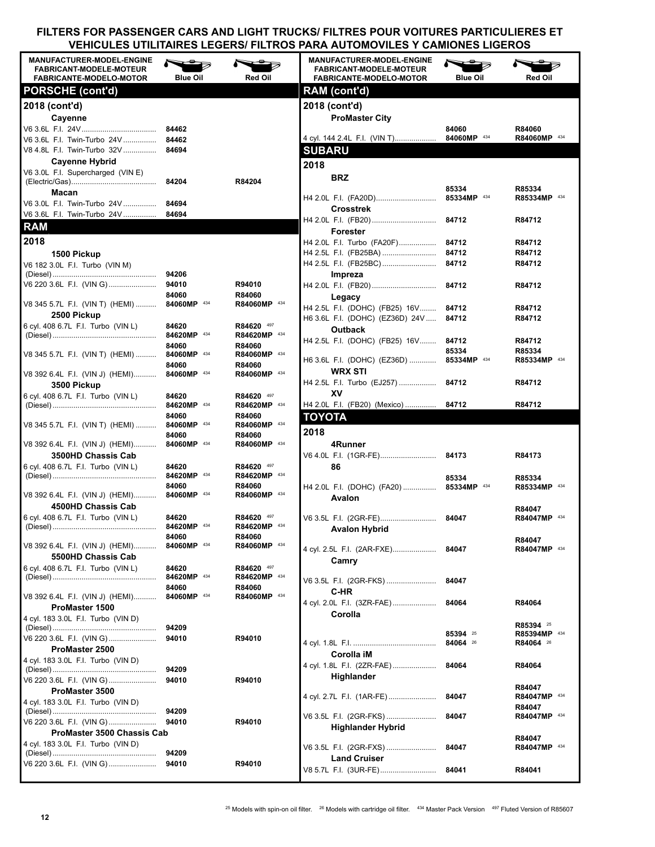| <b>MANUFACTURER-MODEL-ENGINE</b><br><b>FABRICANT-MODELE-MOTEUR</b><br><b>FABRICANTE-MODELO-MOTOR</b> | <b>Blue Oil</b>      | <b>Red Oil</b>             | <b>MANUFACTURER-MODEL-ENGINE</b><br><b>FABRICANT-MODELE-MOTEUR</b><br><b>FABRICANTE-MODELO-MOTOR</b> | <b>Blue Oil</b>      | <b>Red Oil</b>         |
|------------------------------------------------------------------------------------------------------|----------------------|----------------------------|------------------------------------------------------------------------------------------------------|----------------------|------------------------|
| <b>PORSCHE (cont'd)</b>                                                                              |                      |                            | RAM (cont'd)                                                                                         |                      |                        |
| 2018 (cont'd)                                                                                        |                      |                            | 2018 (cont'd)                                                                                        |                      |                        |
|                                                                                                      |                      |                            |                                                                                                      |                      |                        |
| Cayenne                                                                                              |                      |                            | <b>ProMaster City</b>                                                                                | 84060                |                        |
| V6 3.6L F.I. Twin-Turbo 24V  84462                                                                   |                      |                            | 4 cyl. 144 2.4L F.I. (VIN T)                                                                         | 84060MP 434          | R84060<br>R84060MP 434 |
| V8 4.8L F.I. Twin-Turbo 32V  84694                                                                   |                      |                            | <b>SUBARU</b>                                                                                        |                      |                        |
| <b>Cayenne Hybrid</b>                                                                                |                      |                            |                                                                                                      |                      |                        |
| V6 3.0L F.I. Supercharged (VIN E)                                                                    |                      |                            | 2018                                                                                                 |                      |                        |
|                                                                                                      | 84204                | R84204                     | <b>BRZ</b>                                                                                           |                      |                        |
| Macan                                                                                                |                      |                            | H4 2.0L F.I. (FA20D)                                                                                 | 85334<br>85334MP 434 | R85334<br>R85334MP 434 |
| V6 3.0L F.I. Twin-Turbo 24V                                                                          | 84694                |                            | <b>Crosstrek</b>                                                                                     |                      |                        |
| V6 3.6L F.I. Twin-Turbo 24V                                                                          | 84694                |                            |                                                                                                      | 84712                | R84712                 |
| <b>RAM</b>                                                                                           |                      |                            | Forester                                                                                             |                      |                        |
| 2018                                                                                                 |                      |                            | H4 2.0L F.I. Turbo (FA20F)                                                                           | 84712                | R84712                 |
| 1500 Pickup                                                                                          |                      |                            | H4 2.5L F.I. (FB25BA)                                                                                | 84712                | R84712                 |
| V6 182 3.0L F.I. Turbo (VIN M)                                                                       |                      |                            | H4 2.5L F.I. (FB25BC)                                                                                | 84712                | R84712                 |
|                                                                                                      |                      |                            | Impreza                                                                                              |                      |                        |
| V6 220 3.6L  F.I.  (VIN G)                                                                           | 94010                | R94010                     | H4 2.0L F.I. (FB20)                                                                                  | 84712                | R84712                 |
|                                                                                                      | 84060                | R84060                     | Legacy                                                                                               |                      |                        |
| V8 345 5.7L F.I. (VIN T) (HEMI) 84060MP 434                                                          |                      | R84060MP 434               | H4 2.5L F.I. (DOHC) (FB25) 16V                                                                       | 84712                | R84712                 |
| 2500 Pickup                                                                                          |                      |                            | H6 3.6L F.I. (DOHC) (EZ36D) 24V                                                                      | 84712                | R84712                 |
| 6 cyl. 408 6.7L F.I. Turbo (VIN L)                                                                   | 84620                | R84620 497                 | <b>Outback</b>                                                                                       |                      |                        |
|                                                                                                      | 84620MP 434          | R84620MP 434               | H4 2.5L F.I. (DOHC) (FB25) 16V                                                                       | 84712                | R84712                 |
| V8 345 5.7L  F.I.  (VIN T)  (HEMI)                                                                   | 84060<br>84060MP 434 | R84060<br>R84060MP 434     |                                                                                                      | 85334                | R85334                 |
|                                                                                                      | 84060                | R84060                     | H6 3.6L F.I. (DOHC) (EZ36D)                                                                          | 85334MP 434          | R85334MP 434           |
| V8 392 6.4L F.I. (VIN J) (HEMI)                                                                      | 84060MP 434          | R84060MP 434               | <b>WRX STI</b>                                                                                       |                      |                        |
| 3500 Pickup                                                                                          |                      |                            | H4 2.5L F.I. Turbo (EJ257)                                                                           | 84712                | R84712                 |
| 6 cyl. 408 6.7L F.I. Turbo (VIN L)                                                                   | 84620                | R84620 497                 | XV                                                                                                   |                      |                        |
|                                                                                                      | 84620MP 434          | R84620MP 434               | H4 2.0L F.I. (FB20) (Mexico)                                                                         | 84712                | R84712                 |
|                                                                                                      | 84060                | R84060                     | <b>TOYOTA</b>                                                                                        |                      |                        |
| V8 345 5.7L  F.I.  (VIN T)  (HEMI)                                                                   | 84060MP 434<br>84060 | R84060MP 434<br>R84060     | 2018                                                                                                 |                      |                        |
| V8 392 6.4L F.I. (VIN J) (HEMI)                                                                      | 84060MP 434          | R84060MP 434               | 4Runner                                                                                              |                      |                        |
| 3500HD Chassis Cab                                                                                   |                      |                            |                                                                                                      |                      | R84173                 |
| 6 cyl. 408 6.7L F.I. Turbo (VIN L)                                                                   | 84620                | R84620 497                 | 86                                                                                                   |                      |                        |
|                                                                                                      | 84620MP 434          | R84620MP 434               |                                                                                                      | 85334                | R85334                 |
|                                                                                                      | 84060                | R84060                     | H4 2.0L F.I. (DOHC) (FA20)  85334MP 434                                                              |                      | R85334MP 434           |
| V8 392 6.4L F.I. (VIN J) (HEMI) 84060MP 434                                                          |                      | R84060MP 434               | Avalon                                                                                               |                      |                        |
| 4500HD Chassis Cab                                                                                   |                      |                            |                                                                                                      |                      | R84047                 |
| 6 cyl. 408 6.7L F.I. Turbo (VIN L)                                                                   | 84620                | R84620 497<br>R84620MP 434 | V6 3.5L F.I. (2GR-FE)                                                                                | 84047                | R84047MP 434           |
|                                                                                                      | 84060                | R84060                     | Avalon Hybrid                                                                                        |                      |                        |
| V8 392 6.4L F.I. (VIN J) (HEMI)                                                                      | 84060MP 434          | R84060MP 434               | 4 cyl. 2.5L F.I. (2AR-FXE)                                                                           | 84047                | R84047<br>R84047MP 434 |
| 5500HD Chassis Cab                                                                                   |                      |                            | Camry                                                                                                |                      |                        |
| 6 cyl. 408 6.7L F.I. Turbo (VIN L)                                                                   | 84620                | R84620 497                 |                                                                                                      |                      |                        |
|                                                                                                      | 84620MP 434          | R84620MP 434               | V6 3.5L F.I. (2GR-FKS)                                                                               | 84047                |                        |
|                                                                                                      | 84060                | R84060                     | C-HR                                                                                                 |                      |                        |
| V8 392 6.4L F.I. (VIN J) (HEMI)                                                                      | 84060MP 434          | R84060MP 434               | 4 cyl. 2.0L F.I. (3ZR-FAE)                                                                           | 84064                | R84064                 |
| ProMaster 1500                                                                                       |                      |                            | Corolla                                                                                              |                      |                        |
| 4 cyl. 183 3.0L F.I. Turbo (VIN D)                                                                   | 94209                |                            |                                                                                                      |                      | R85394 <sup>25</sup>   |
| V6 220 3.6L F.I. (VIN G)                                                                             | 94010                | R94010                     |                                                                                                      | 85394 25             | R85394MP 434           |
| ProMaster 2500                                                                                       |                      |                            |                                                                                                      | 84064 26             | R84064 <sup>26</sup>   |
| 4 cyl. 183 3.0L F.I. Turbo (VIN D)                                                                   |                      |                            | Corolla iM                                                                                           |                      |                        |
|                                                                                                      | 94209                |                            | 4 cyl. 1.8L F.I. (2ZR-FAE)                                                                           | 84064                | R84064                 |
| V6 220 3.6L F.I. (VIN G)                                                                             | 94010                | R94010                     | Highlander                                                                                           |                      |                        |
| ProMaster 3500                                                                                       |                      |                            | 4 cyl. 2.7L F.I. (1AR-FE)                                                                            | 84047                | R84047<br>R84047MP 434 |
| 4 cyl. 183 3.0L F.I. Turbo (VIN D)                                                                   |                      |                            |                                                                                                      |                      | R84047                 |
|                                                                                                      | 94209                |                            | V6 3.5L F.I. (2GR-FKS)                                                                               | 84047                | R84047MP 434           |
| V6 220 3.6L F.I. (VIN G)                                                                             | 94010                | R94010                     | <b>Highlander Hybrid</b>                                                                             |                      |                        |
| ProMaster 3500 Chassis Cab<br>4 cyl. 183 3.0L F.I. Turbo (VIN D)                                     |                      |                            |                                                                                                      |                      | R84047                 |
|                                                                                                      | 94209                |                            | V6 3.5L F.I. (2GR-FXS)                                                                               | 84047                | R84047MP 434           |
| V6 220 3.6L  F.I.  (VIN G)                                                                           | 94010                | R94010                     | <b>Land Cruiser</b>                                                                                  |                      |                        |
|                                                                                                      |                      |                            | V8 5.7L F.I. (3UR-FE)                                                                                | 84041                | R84041                 |